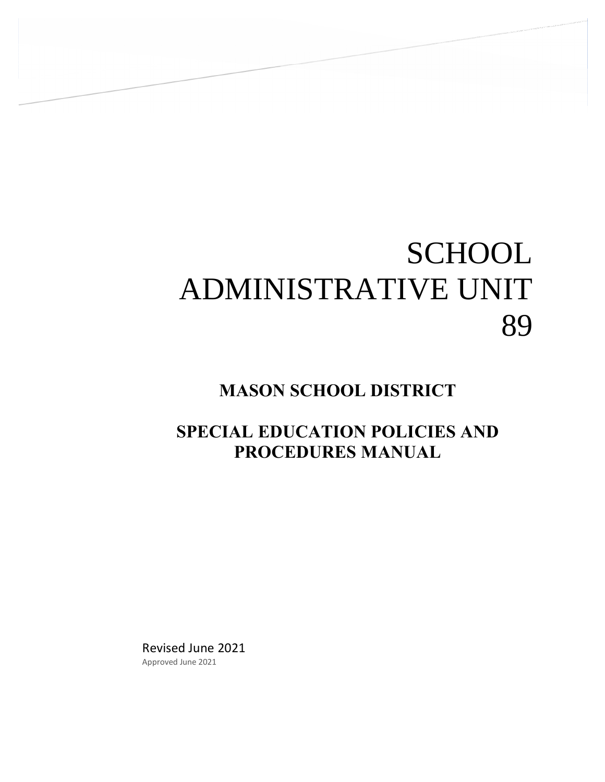# **SCHOOL** ADMINISTRATIVE UNIT 89

# **MASON SCHOOL DISTRICT**

# **SPECIAL EDUCATION POLICIES AND PROCEDURES MANUAL**

Revised June 2021 Approved June 2021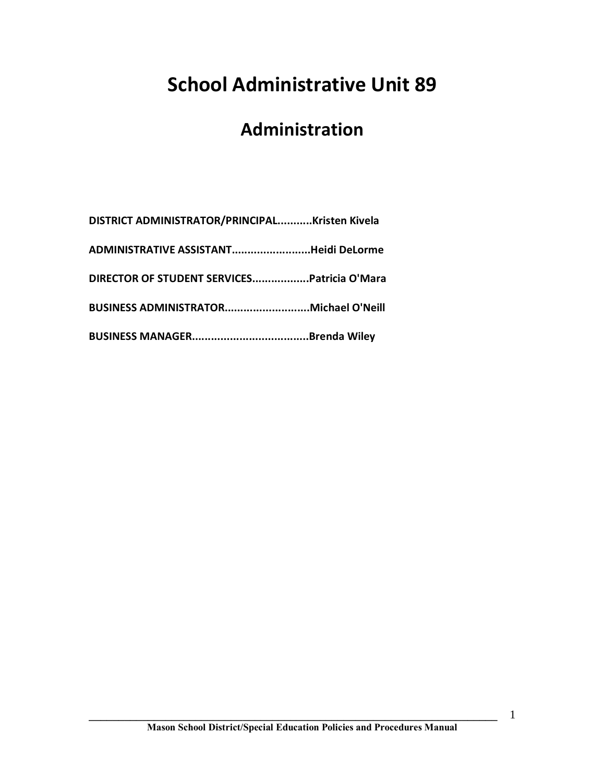# **School Administrative Unit 89**

# **Administration**

| DISTRICT ADMINISTRATOR/PRINCIPALKristen Kivela |  |
|------------------------------------------------|--|
| ADMINISTRATIVE ASSISTANTHeidi DeLorme          |  |
| DIRECTOR OF STUDENT SERVICESPatricia O'Mara    |  |
| BUSINESS ADMINISTRATORMichael O'Neill          |  |
|                                                |  |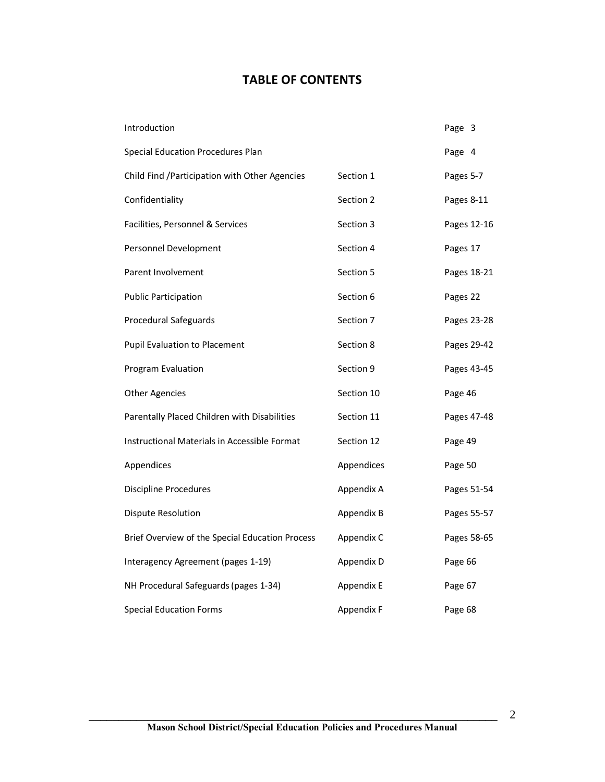# **TABLE OF CONTENTS**

| Introduction                                    |            | Page 3      |
|-------------------------------------------------|------------|-------------|
| <b>Special Education Procedures Plan</b>        |            | Page 4      |
| Child Find / Participation with Other Agencies  | Section 1  | Pages 5-7   |
| Confidentiality                                 | Section 2  | Pages 8-11  |
| Facilities, Personnel & Services                | Section 3  | Pages 12-16 |
| Personnel Development                           | Section 4  | Pages 17    |
| Parent Involvement                              | Section 5  | Pages 18-21 |
| <b>Public Participation</b>                     | Section 6  | Pages 22    |
| Procedural Safeguards                           | Section 7  | Pages 23-28 |
| Pupil Evaluation to Placement                   | Section 8  | Pages 29-42 |
| Program Evaluation                              | Section 9  | Pages 43-45 |
| <b>Other Agencies</b>                           | Section 10 | Page 46     |
| Parentally Placed Children with Disabilities    | Section 11 | Pages 47-48 |
| Instructional Materials in Accessible Format    | Section 12 | Page 49     |
| Appendices                                      | Appendices | Page 50     |
| <b>Discipline Procedures</b>                    | Appendix A | Pages 51-54 |
| <b>Dispute Resolution</b>                       | Appendix B | Pages 55-57 |
| Brief Overview of the Special Education Process | Appendix C | Pages 58-65 |
| Interagency Agreement (pages 1-19)              | Appendix D | Page 66     |
| NH Procedural Safeguards (pages 1-34)           | Appendix E | Page 67     |
| <b>Special Education Forms</b>                  | Appendix F | Page 68     |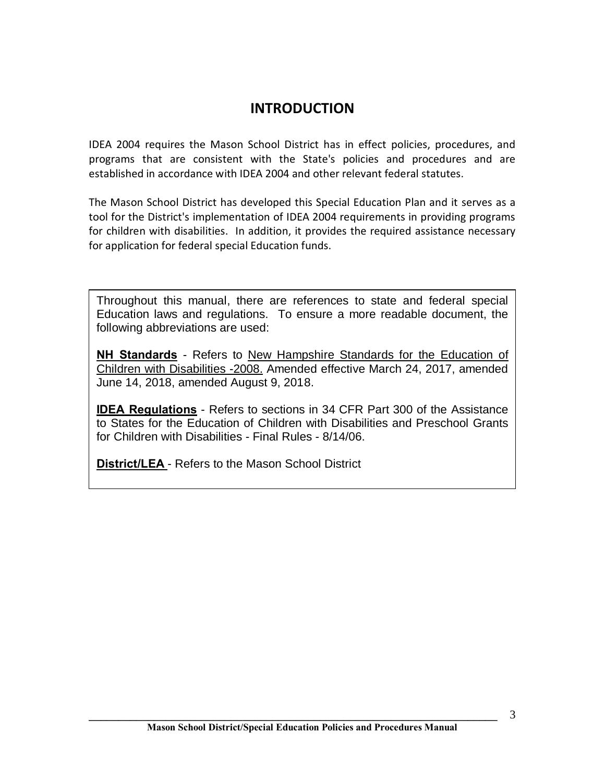# **INTRODUCTION**

IDEA 2004 requires the Mason School District has in effect policies, procedures, and programs that are consistent with the State's policies and procedures and are established in accordance with IDEA 2004 and other relevant federal statutes.

The Mason School District has developed this Special Education Plan and it serves as a tool for the District's implementation of IDEA 2004 requirements in providing programs for children with disabilities. In addition, it provides the required assistance necessary for application for federal special Education funds.

Throughout this manual, there are references to state and federal special Education laws and regulations. To ensure a more readable document, the following abbreviations are used:

**Kritical Children with Disabilities -2008.** Amended effective March 24, 2017, amended **NH Standards** - Refers to New Hampshire Standards for the Education of June 14, 2018, amended August 9, 2018.

**IDEA Regulations** - Refers to sections in 34 CFR Part 300 of the Assistance to States for the Education of Children with Disabilities and Preschool Grants for Children with Disabilities - Final Rules - 8/14/06.

**District/LEA** - Refers to the Mason School District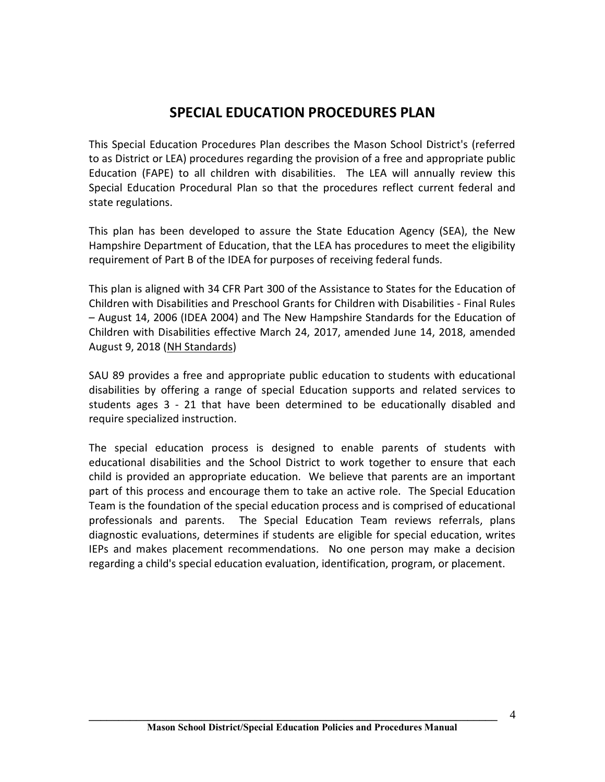# **SPECIAL EDUCATION PROCEDURES PLAN**

This Special Education Procedures Plan describes the Mason School District's (referred to as District or LEA) procedures regarding the provision of a free and appropriate public Education (FAPE) to all children with disabilities. The LEA will annually review this Special Education Procedural Plan so that the procedures reflect current federal and state regulations.

This plan has been developed to assure the State Education Agency (SEA), the New Hampshire Department of Education, that the LEA has procedures to meet the eligibility requirement of Part B of the IDEA for purposes of receiving federal funds.

This plan is aligned with 34 CFR Part 300 of the Assistance to States for the Education of Children with Disabilities and Preschool Grants for Children with Disabilities - Final Rules – August 14, 2006 (IDEA 2004) and The New Hampshire Standards for the Education of Children with Disabilities effective March 24, 2017, amended June 14, 2018, amended August 9, 2018 (NH Standards)

SAU 89 provides a free and appropriate public education to students with educational disabilities by offering a range of special Education supports and related services to students ages 3 - 21 that have been determined to be educationally disabled and require specialized instruction.

The special education process is designed to enable parents of students with educational disabilities and the School District to work together to ensure that each child is provided an appropriate education. We believe that parents are an important part of this process and encourage them to take an active role. The Special Education Team is the foundation of the special education process and is comprised of educational professionals and parents. The Special Education Team reviews referrals, plans diagnostic evaluations, determines if students are eligible for special education, writes IEPs and makes placement recommendations. No one person may make a decision regarding a child's special education evaluation, identification, program, or placement.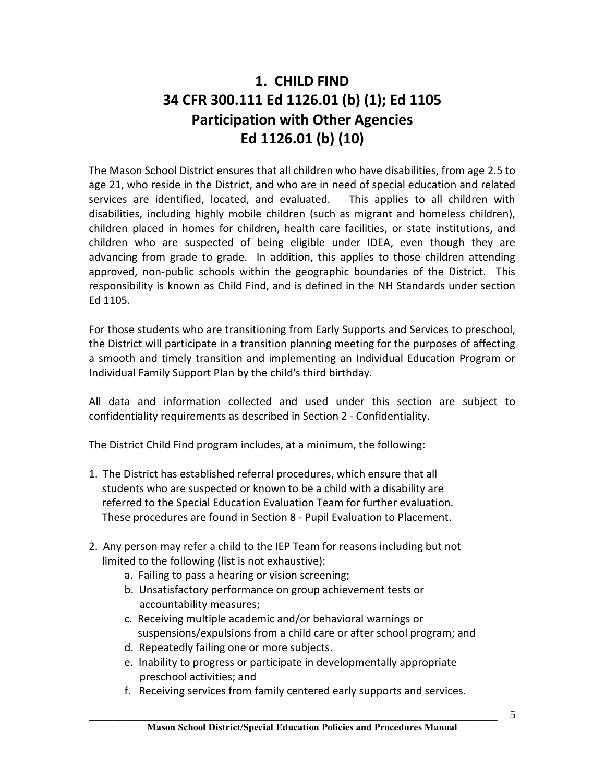# **1. CHILD FIND 34 CFR 300.111 Ed 1126.01 (b) (1); Ed 1105 Participation with Other Agencies Ed 1126.01 (b) (10)**

The Mason School District ensures that all children who have disabilities, from age 2.5 to age 21, who reside in the District, and who are in need of special education and related services are identified, located, and evaluated. This applies to all children with disabilities, including highly mobile children (such as migrant and homeless children), children placed in homes for children, health care facilities, or state institutions, and children who are suspected of being eligible under IDEA, even though they are advancing from grade to grade. In addition, this applies to those children attending approved, non-public schools within the geographic boundaries of the District. This responsibility is known as Child Find, and is defined in the NH Standards under section Ed 1105.

For those students who are transitioning from Early Supports and Services to preschool, the District will participate in a transition planning meeting for the purposes of affecting a smooth and timely transition and implementing an Individual Education Program or Individual Family Support Plan by the child's third birthday.

All data and information collected and used under this section are subject to confidentiality requirements as described in Section 2 - Confidentiality.

The District Child Find program includes, at a minimum, the following:

- 1. The District has established referral procedures, which ensure that all students who are suspected or known to be a child with a disability are referred to the Special Education Evaluation Team for further evaluation. These procedures are found in Section 8 - Pupil Evaluation to Placement.
- 2. Any person may refer a child to the IEP Team for reasons including but not limited to the following (list is not exhaustive):
	- a. Failing to pass a hearing or vision screening;
	- b. Unsatisfactory performance on group achievement tests or accountability measures;
	- c. Receiving multiple academic and/or behavioral warnings or suspensions/expulsions from a child care or after school program; and
	- d. Repeatedly failing one or more subjects.
	- e. Inability to progress or participate in developmentally appropriate preschool activities; and
	- f. Receiving services from family centered early supports and services.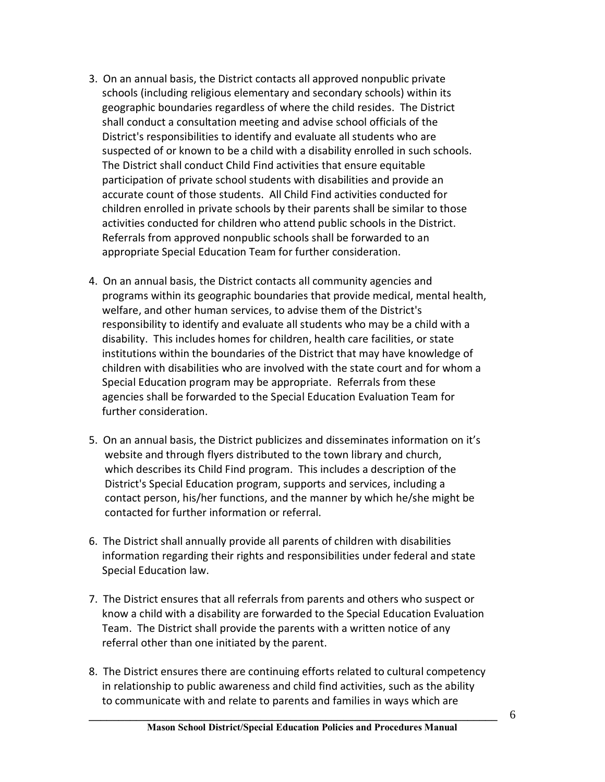- 3. On an annual basis, the District contacts all approved nonpublic private schools (including religious elementary and secondary schools) within its geographic boundaries regardless of where the child resides. The District shall conduct a consultation meeting and advise school officials of the District's responsibilities to identify and evaluate all students who are suspected of or known to be a child with a disability enrolled in such schools. The District shall conduct Child Find activities that ensure equitable participation of private school students with disabilities and provide an accurate count of those students. All Child Find activities conducted for children enrolled in private schools by their parents shall be similar to those activities conducted for children who attend public schools in the District. Referrals from approved nonpublic schools shall be forwarded to an appropriate Special Education Team for further consideration.
- 4. On an annual basis, the District contacts all community agencies and programs within its geographic boundaries that provide medical, mental health, welfare, and other human services, to advise them of the District's responsibility to identify and evaluate all students who may be a child with a disability. This includes homes for children, health care facilities, or state institutions within the boundaries of the District that may have knowledge of children with disabilities who are involved with the state court and for whom a Special Education program may be appropriate. Referrals from these agencies shall be forwarded to the Special Education Evaluation Team for further consideration.
- 5. On an annual basis, the District publicizes and disseminates information on it's website and through flyers distributed to the town library and church, which describes its Child Find program. This includes a description of the District's Special Education program, supports and services, including a contact person, his/her functions, and the manner by which he/she might be contacted for further information or referral.
- 6. The District shall annually provide all parents of children with disabilities information regarding their rights and responsibilities under federal and state Special Education law.
- 7. The District ensures that all referrals from parents and others who suspect or know a child with a disability are forwarded to the Special Education Evaluation Team. The District shall provide the parents with a written notice of any referral other than one initiated by the parent.
- 8. The District ensures there are continuing efforts related to cultural competency in relationship to public awareness and child find activities, such as the ability to communicate with and relate to parents and families in ways which are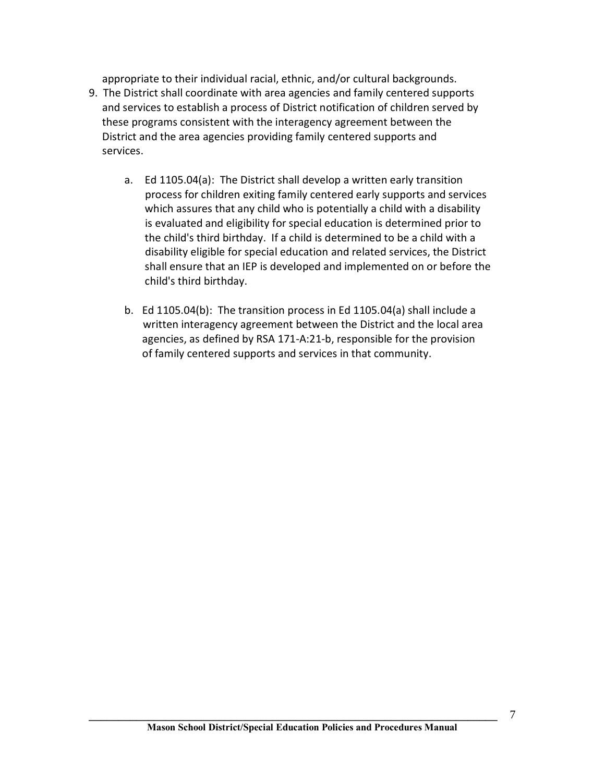appropriate to their individual racial, ethnic, and/or cultural backgrounds.

- 9. The District shall coordinate with area agencies and family centered supports and services to establish a process of District notification of children served by these programs consistent with the interagency agreement between the District and the area agencies providing family centered supports and services.
	- a. Ed 1105.04(a): The District shall develop a written early transition process for children exiting family centered early supports and services which assures that any child who is potentially a child with a disability is evaluated and eligibility for special education is determined prior to the child's third birthday. If a child is determined to be a child with a disability eligible for special education and related services, the District shall ensure that an IEP is developed and implemented on or before the child's third birthday.
	- b. Ed 1105.04(b): The transition process in Ed 1105.04(a) shall include a written interagency agreement between the District and the local area agencies, as defined by RSA 171-A:21-b, responsible for the provision of family centered supports and services in that community.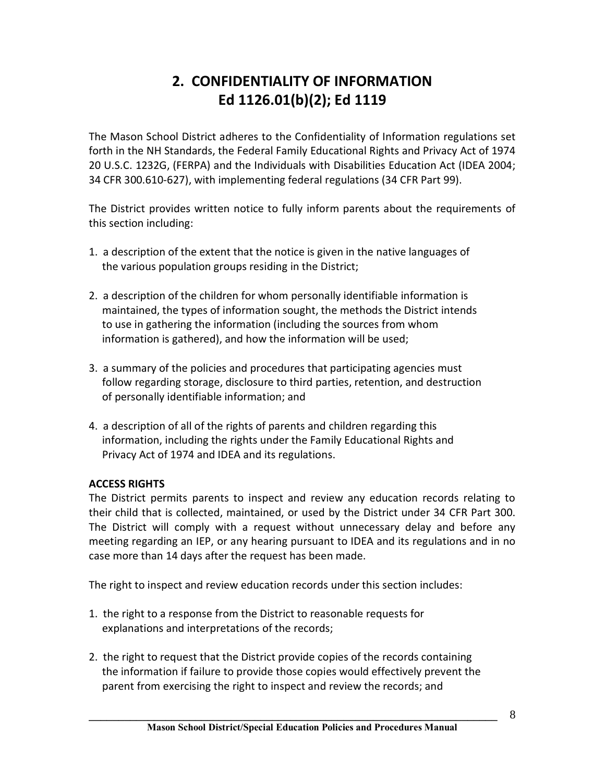# **2. CONFIDENTIALITY OF INFORMATION Ed 1126.01(b)(2); Ed 1119**

The Mason School District adheres to the Confidentiality of Information regulations set forth in the NH Standards, the Federal Family Educational Rights and Privacy Act of 1974 20 U.S.C. 1232G, (FERPA) and the Individuals with Disabilities Education Act (IDEA 2004; 34 CFR 300.610-627), with implementing federal regulations (34 CFR Part 99).

The District provides written notice to fully inform parents about the requirements of this section including:

- 1. a description of the extent that the notice is given in the native languages of the various population groups residing in the District;
- 2. a description of the children for whom personally identifiable information is maintained, the types of information sought, the methods the District intends to use in gathering the information (including the sources from whom information is gathered), and how the information will be used;
- 3. a summary of the policies and procedures that participating agencies must follow regarding storage, disclosure to third parties, retention, and destruction of personally identifiable information; and
- 4. a description of all of the rights of parents and children regarding this information, including the rights under the Family Educational Rights and Privacy Act of 1974 and IDEA and its regulations.

# **ACCESS RIGHTS**

The District permits parents to inspect and review any education records relating to their child that is collected, maintained, or used by the District under 34 CFR Part 300. The District will comply with a request without unnecessary delay and before any meeting regarding an IEP, or any hearing pursuant to IDEA and its regulations and in no case more than 14 days after the request has been made.

The right to inspect and review education records under this section includes:

- 1. the right to a response from the District to reasonable requests for explanations and interpretations of the records;
- 2. the right to request that the District provide copies of the records containing the information if failure to provide those copies would effectively prevent the parent from exercising the right to inspect and review the records; and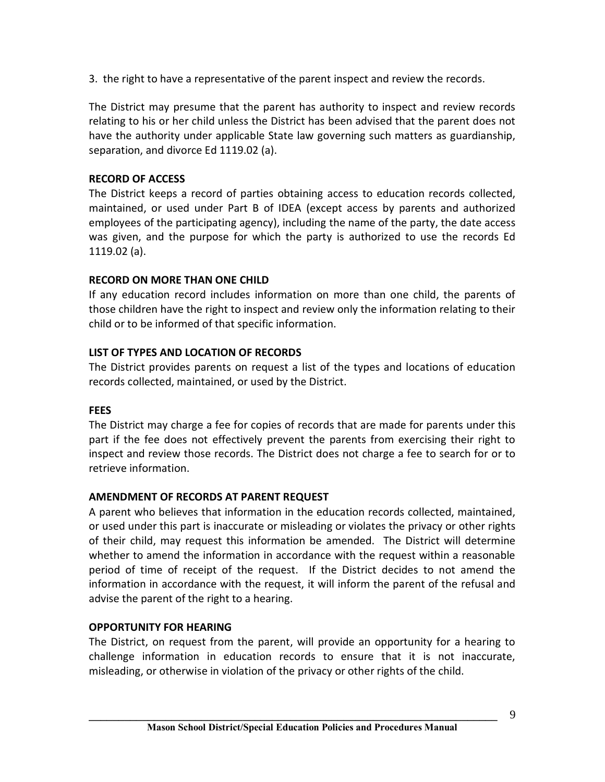3. the right to have a representative of the parent inspect and review the records.

The District may presume that the parent has authority to inspect and review records relating to his or her child unless the District has been advised that the parent does not have the authority under applicable State law governing such matters as guardianship, separation, and divorce Ed 1119.02 (a).

# **RECORD OF ACCESS**

The District keeps a record of parties obtaining access to education records collected, maintained, or used under Part B of IDEA (except access by parents and authorized employees of the participating agency), including the name of the party, the date access was given, and the purpose for which the party is authorized to use the records Ed 1119.02 (a).

# **RECORD ON MORE THAN ONE CHILD**

If any education record includes information on more than one child, the parents of those children have the right to inspect and review only the information relating to their child or to be informed of that specific information.

# **LIST OF TYPES AND LOCATION OF RECORDS**

The District provides parents on request a list of the types and locations of education records collected, maintained, or used by the District.

# **FEES**

The District may charge a fee for copies of records that are made for parents under this part if the fee does not effectively prevent the parents from exercising their right to inspect and review those records. The District does not charge a fee to search for or to retrieve information.

# **AMENDMENT OF RECORDS AT PARENT REQUEST**

A parent who believes that information in the education records collected, maintained, or used under this part is inaccurate or misleading or violates the privacy or other rights of their child, may request this information be amended. The District will determine whether to amend the information in accordance with the request within a reasonable period of time of receipt of the request. If the District decides to not amend the information in accordance with the request, it will inform the parent of the refusal and advise the parent of the right to a hearing.

# **OPPORTUNITY FOR HEARING**

The District, on request from the parent, will provide an opportunity for a hearing to challenge information in education records to ensure that it is not inaccurate, misleading, or otherwise in violation of the privacy or other rights of the child.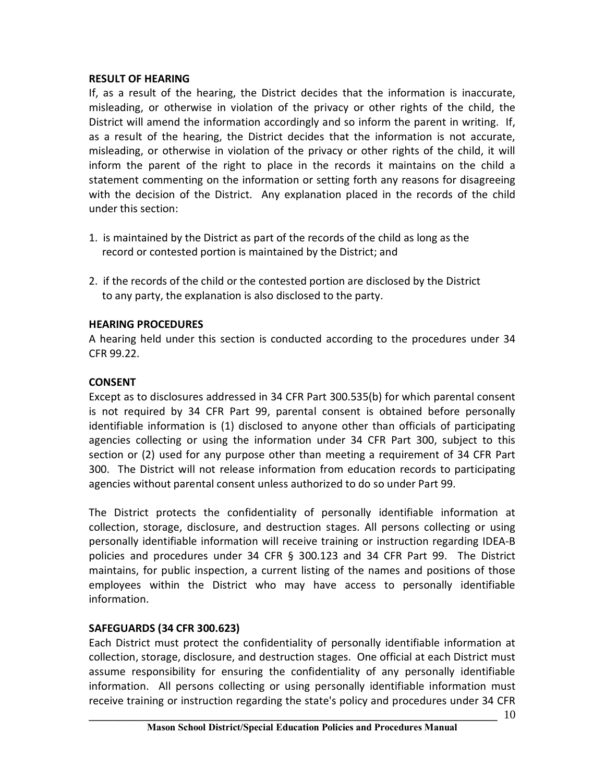## **RESULT OF HEARING**

If, as a result of the hearing, the District decides that the information is inaccurate, misleading, or otherwise in violation of the privacy or other rights of the child, the District will amend the information accordingly and so inform the parent in writing. If, as a result of the hearing, the District decides that the information is not accurate, misleading, or otherwise in violation of the privacy or other rights of the child, it will inform the parent of the right to place in the records it maintains on the child a statement commenting on the information or setting forth any reasons for disagreeing with the decision of the District. Any explanation placed in the records of the child under this section:

- 1. is maintained by the District as part of the records of the child as long as the record or contested portion is maintained by the District; and
- 2. if the records of the child or the contested portion are disclosed by the District to any party, the explanation is also disclosed to the party.

# **HEARING PROCEDURES**

A hearing held under this section is conducted according to the procedures under 34 CFR 99.22.

# **CONSENT**

Except as to disclosures addressed in 34 CFR Part 300.535(b) for which parental consent is not required by 34 CFR Part 99, parental consent is obtained before personally identifiable information is (1) disclosed to anyone other than officials of participating agencies collecting or using the information under 34 CFR Part 300, subject to this section or (2) used for any purpose other than meeting a requirement of 34 CFR Part 300. The District will not release information from education records to participating agencies without parental consent unless authorized to do so under Part 99.

The District protects the confidentiality of personally identifiable information at collection, storage, disclosure, and destruction stages. All persons collecting or using personally identifiable information will receive training or instruction regarding IDEA-B policies and procedures under 34 CFR § 300.123 and 34 CFR Part 99. The District maintains, for public inspection, a current listing of the names and positions of those employees within the District who may have access to personally identifiable information.

# **SAFEGUARDS (34 CFR 300.623)**

Each District must protect the confidentiality of personally identifiable information at collection, storage, disclosure, and destruction stages. One official at each District must assume responsibility for ensuring the confidentiality of any personally identifiable information. All persons collecting or using personally identifiable information must receive training or instruction regarding the state's policy and procedures under 34 CFR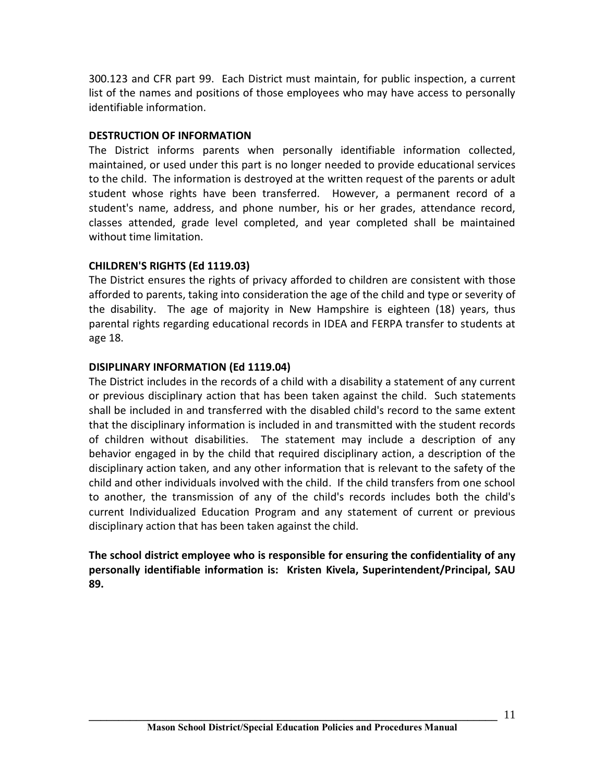300.123 and CFR part 99. Each District must maintain, for public inspection, a current list of the names and positions of those employees who may have access to personally identifiable information.

# **DESTRUCTION OF INFORMATION**

The District informs parents when personally identifiable information collected, maintained, or used under this part is no longer needed to provide educational services to the child. The information is destroyed at the written request of the parents or adult student whose rights have been transferred. However, a permanent record of a student's name, address, and phone number, his or her grades, attendance record, classes attended, grade level completed, and year completed shall be maintained without time limitation.

# **CHILDREN'S RIGHTS (Ed 1119.03)**

The District ensures the rights of privacy afforded to children are consistent with those afforded to parents, taking into consideration the age of the child and type or severity of the disability. The age of majority in New Hampshire is eighteen (18) years, thus parental rights regarding educational records in IDEA and FERPA transfer to students at age 18.

# **DISIPLINARY INFORMATION (Ed 1119.04)**

The District includes in the records of a child with a disability a statement of any current or previous disciplinary action that has been taken against the child. Such statements shall be included in and transferred with the disabled child's record to the same extent that the disciplinary information is included in and transmitted with the student records of children without disabilities. The statement may include a description of any behavior engaged in by the child that required disciplinary action, a description of the disciplinary action taken, and any other information that is relevant to the safety of the child and other individuals involved with the child. If the child transfers from one school to another, the transmission of any of the child's records includes both the child's current Individualized Education Program and any statement of current or previous disciplinary action that has been taken against the child.

**The school district employee who is responsible for ensuring the confidentiality of any personally identifiable information is: Kristen Kivela, Superintendent/Principal, SAU 89.**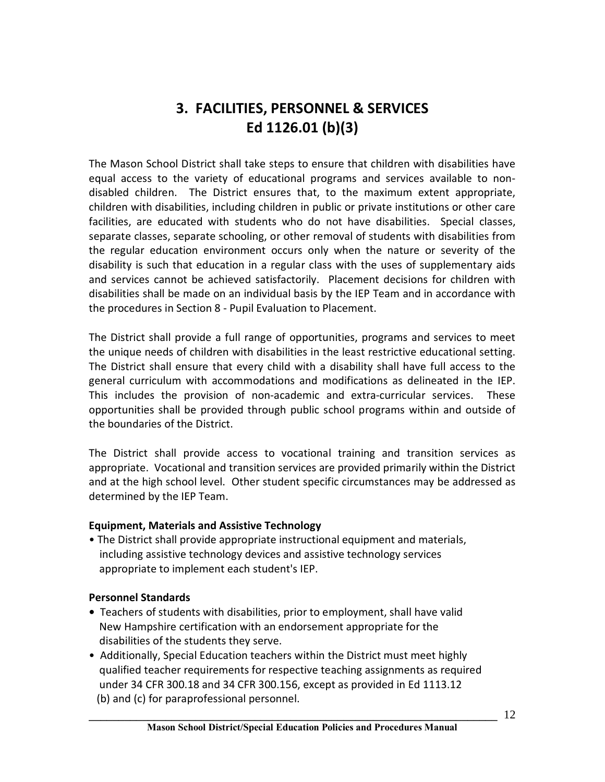# **3. FACILITIES, PERSONNEL & SERVICES Ed 1126.01 (b)(3)**

The Mason School District shall take steps to ensure that children with disabilities have equal access to the variety of educational programs and services available to nondisabled children. The District ensures that, to the maximum extent appropriate, children with disabilities, including children in public or private institutions or other care facilities, are educated with students who do not have disabilities. Special classes, separate classes, separate schooling, or other removal of students with disabilities from the regular education environment occurs only when the nature or severity of the disability is such that education in a regular class with the uses of supplementary aids and services cannot be achieved satisfactorily. Placement decisions for children with disabilities shall be made on an individual basis by the IEP Team and in accordance with the procedures in Section 8 - Pupil Evaluation to Placement.

The District shall provide a full range of opportunities, programs and services to meet the unique needs of children with disabilities in the least restrictive educational setting. The District shall ensure that every child with a disability shall have full access to the general curriculum with accommodations and modifications as delineated in the IEP. This includes the provision of non-academic and extra-curricular services. These opportunities shall be provided through public school programs within and outside of the boundaries of the District.

The District shall provide access to vocational training and transition services as appropriate. Vocational and transition services are provided primarily within the District and at the high school level. Other student specific circumstances may be addressed as determined by the IEP Team.

#### **Equipment, Materials and Assistive Technology**

• The District shall provide appropriate instructional equipment and materials, including assistive technology devices and assistive technology services appropriate to implement each student's IEP.

# **Personnel Standards**

- **•** Teachers of students with disabilities, prior to employment, shall have valid New Hampshire certification with an endorsement appropriate for the disabilities of the students they serve.
- Additionally, Special Education teachers within the District must meet highly qualified teacher requirements for respective teaching assignments as required under 34 CFR 300.18 and 34 CFR 300.156, except as provided in Ed 1113.12 (b) and (c) for paraprofessional personnel.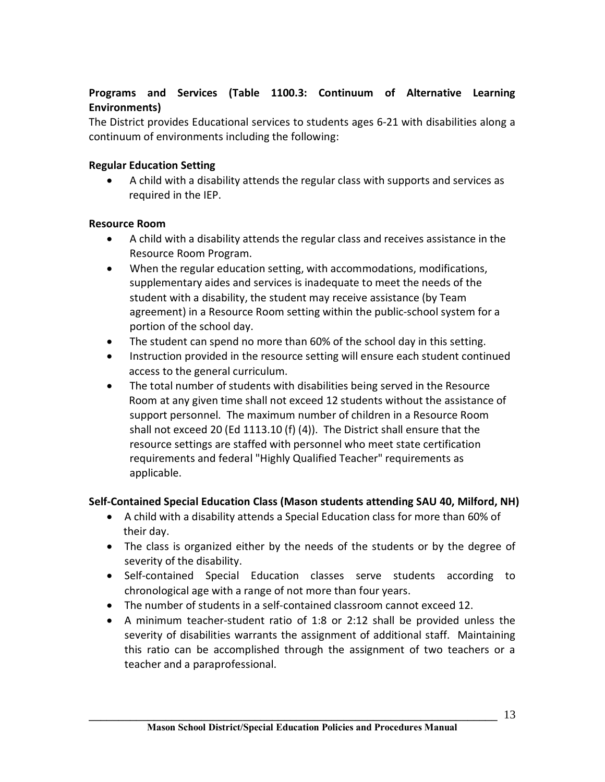# **Programs and Services (Table 1100.3: Continuum of Alternative Learning Environments)**

The District provides Educational services to students ages 6-21 with disabilities along a continuum of environments including the following:

# **Regular Education Setting**

·A child with a disability attends the regular class with supports and services as required in the IEP.

# **Resource Room**

- ·A child with a disability attends the regular class and receives assistance in the Resource Room Program.
- · When the regular education setting, with accommodations, modifications, supplementary aides and services is inadequate to meet the needs of the student with a disability, the student may receive assistance (by Team agreement) in a Resource Room setting within the public-school system for a portion of the school day.
- · The student can spend no more than 60% of the school day in this setting.
- · Instruction provided in the resource setting will ensure each student continued access to the general curriculum.
- · The total number of students with disabilities being served in the Resource Room at any given time shall not exceed 12 students without the assistance of support personnel. The maximum number of children in a Resource Room shall not exceed 20 (Ed 1113.10 (f) (4)). The District shall ensure that the resource settings are staffed with personnel who meet state certification requirements and federal "Highly Qualified Teacher" requirements as applicable.

# **Self-Contained Special Education Class (Mason students attending SAU 40, Milford, NH)**

- · A child with a disability attends a Special Education class for more than 60% of their day.
- The class is organized either by the needs of the students or by the degree of severity of the disability.
- · Self-contained Special Education classes serve students according to chronological age with a range of not more than four years.
- · The number of students in a self-contained classroom cannot exceed 12.
- · A minimum teacher-student ratio of 1:8 or 2:12 shall be provided unless the severity of disabilities warrants the assignment of additional staff. Maintaining this ratio can be accomplished through the assignment of two teachers or a teacher and a paraprofessional.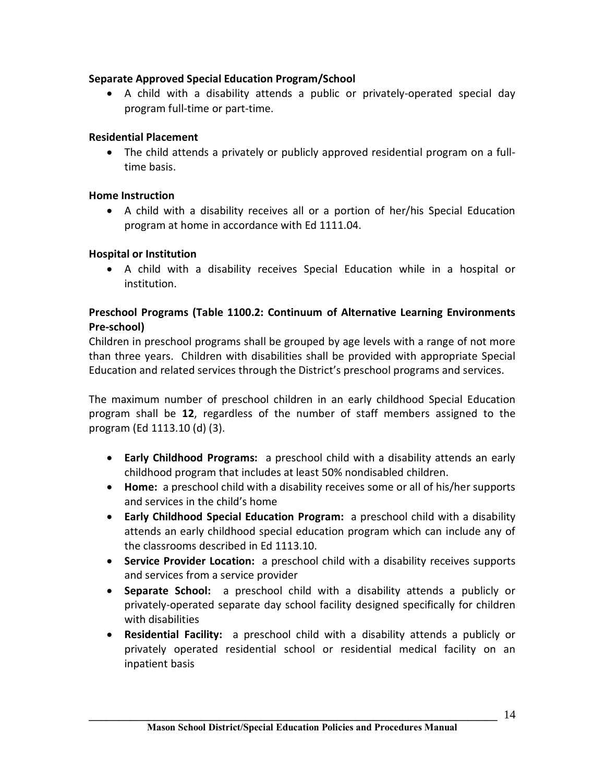# **Separate Approved Special Education Program/School**

· A child with a disability attends a public or privately-operated special day program full-time or part-time.

# **Residential Placement**

· The child attends a privately or publicly approved residential program on a fulltime basis.

# **Home Instruction**

· A child with a disability receives all or a portion of her/his Special Education program at home in accordance with Ed 1111.04.

# **Hospital or Institution**

· A child with a disability receives Special Education while in a hospital or institution.

# **Preschool Programs (Table 1100.2: Continuum of Alternative Learning Environments Pre-school)**

Children in preschool programs shall be grouped by age levels with a range of not more than three years. Children with disabilities shall be provided with appropriate Special Education and related services through the District's preschool programs and services.

The maximum number of preschool children in an early childhood Special Education program shall be **12**, regardless of the number of staff members assigned to the program (Ed 1113.10 (d) (3).

- · **Early Childhood Programs:** a preschool child with a disability attends an early childhood program that includes at least 50% nondisabled children.
- · **Home:** a preschool child with a disability receives some or all of his/her supports and services in the child's home
- · **Early Childhood Special Education Program:** a preschool child with a disability attends an early childhood special education program which can include any of the classrooms described in Ed 1113.10.
- · **Service Provider Location:** a preschool child with a disability receives supports and services from a service provider
- · **Separate School:** a preschool child with a disability attends a publicly or privately-operated separate day school facility designed specifically for children with disabilities
- · **Residential Facility:** a preschool child with a disability attends a publicly or privately operated residential school or residential medical facility on an inpatient basis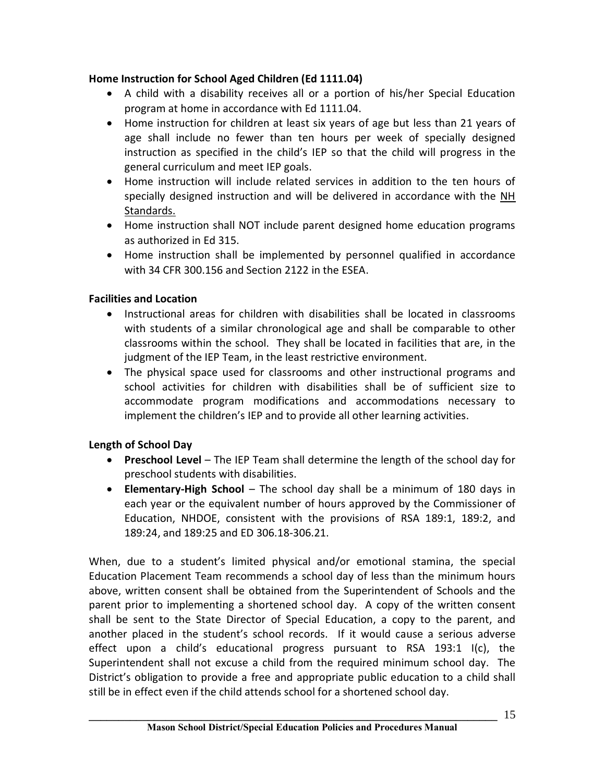# **Home Instruction for School Aged Children (Ed 1111.04)**

- · A child with a disability receives all or a portion of his/her Special Education program at home in accordance with Ed 1111.04.
- · Home instruction for children at least six years of age but less than 21 years of age shall include no fewer than ten hours per week of specially designed instruction as specified in the child's IEP so that the child will progress in the general curriculum and meet IEP goals.
- · Home instruction will include related services in addition to the ten hours of specially designed instruction and will be delivered in accordance with the NH Standards.
- · Home instruction shall NOT include parent designed home education programs as authorized in Ed 315.
- · Home instruction shall be implemented by personnel qualified in accordance with 34 CFR 300.156 and Section 2122 in the ESEA.

# **Facilities and Location**

- · Instructional areas for children with disabilities shall be located in classrooms with students of a similar chronological age and shall be comparable to other classrooms within the school. They shall be located in facilities that are, in the judgment of the IEP Team, in the least restrictive environment.
- · The physical space used for classrooms and other instructional programs and school activities for children with disabilities shall be of sufficient size to accommodate program modifications and accommodations necessary to implement the children's IEP and to provide all other learning activities.

# **Length of School Day**

- · **Preschool Level**  The IEP Team shall determine the length of the school day for preschool students with disabilities.
- · **Elementary-High School**  The school day shall be a minimum of 180 days in each year or the equivalent number of hours approved by the Commissioner of Education, NHDOE, consistent with the provisions of RSA 189:1, 189:2, and 189:24, and 189:25 and ED 306.18-306.21.

When, due to a student's limited physical and/or emotional stamina, the special Education Placement Team recommends a school day of less than the minimum hours above, written consent shall be obtained from the Superintendent of Schools and the parent prior to implementing a shortened school day. A copy of the written consent shall be sent to the State Director of Special Education, a copy to the parent, and another placed in the student's school records. If it would cause a serious adverse effect upon a child's educational progress pursuant to RSA 193:1 I(c), the Superintendent shall not excuse a child from the required minimum school day. The District's obligation to provide a free and appropriate public education to a child shall still be in effect even if the child attends school for a shortened school day.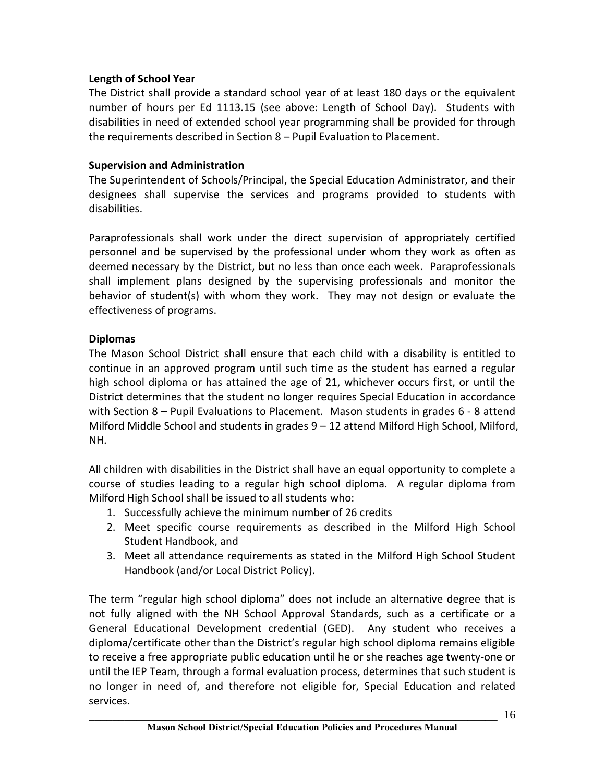# **Length of School Year**

The District shall provide a standard school year of at least 180 days or the equivalent number of hours per Ed 1113.15 (see above: Length of School Day). Students with disabilities in need of extended school year programming shall be provided for through the requirements described in Section 8 – Pupil Evaluation to Placement.

# **Supervision and Administration**

The Superintendent of Schools/Principal, the Special Education Administrator, and their designees shall supervise the services and programs provided to students with disabilities.

Paraprofessionals shall work under the direct supervision of appropriately certified personnel and be supervised by the professional under whom they work as often as deemed necessary by the District, but no less than once each week. Paraprofessionals shall implement plans designed by the supervising professionals and monitor the behavior of student(s) with whom they work. They may not design or evaluate the effectiveness of programs.

# **Diplomas**

The Mason School District shall ensure that each child with a disability is entitled to continue in an approved program until such time as the student has earned a regular high school diploma or has attained the age of 21, whichever occurs first, or until the District determines that the student no longer requires Special Education in accordance with Section 8 – Pupil Evaluations to Placement. Mason students in grades 6 - 8 attend Milford Middle School and students in grades 9 – 12 attend Milford High School, Milford, NH.

All children with disabilities in the District shall have an equal opportunity to complete a course of studies leading to a regular high school diploma. A regular diploma from Milford High School shall be issued to all students who:

- 1. Successfully achieve the minimum number of 26 credits
- 2. Meet specific course requirements as described in the Milford High School Student Handbook, and
- 3. Meet all attendance requirements as stated in the Milford High School Student Handbook (and/or Local District Policy).

The term "regular high school diploma" does not include an alternative degree that is not fully aligned with the NH School Approval Standards, such as a certificate or a General Educational Development credential (GED). Any student who receives a diploma/certificate other than the District's regular high school diploma remains eligible to receive a free appropriate public education until he or she reaches age twenty-one or until the IEP Team, through a formal evaluation process, determines that such student is no longer in need of, and therefore not eligible for, Special Education and related services.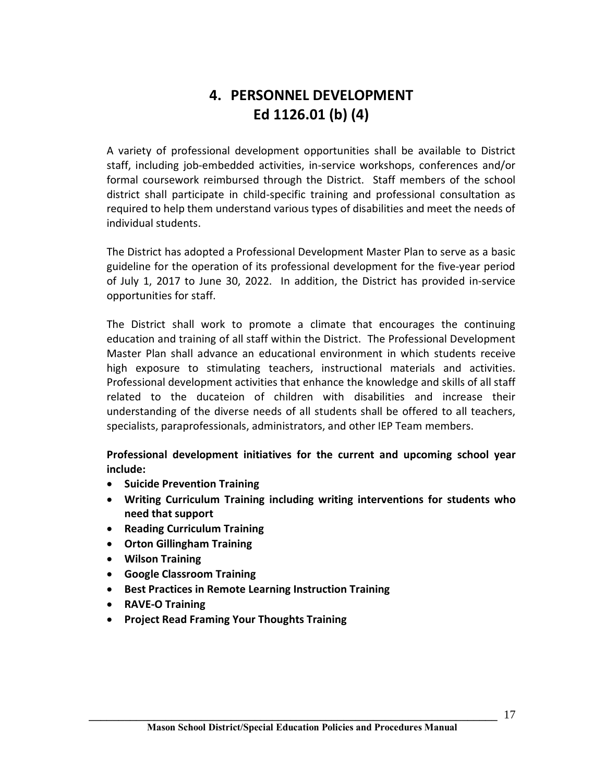# **4. PERSONNEL DEVELOPMENT Ed 1126.01 (b) (4)**

A variety of professional development opportunities shall be available to District staff, including job-embedded activities, in-service workshops, conferences and/or formal coursework reimbursed through the District. Staff members of the school district shall participate in child-specific training and professional consultation as required to help them understand various types of disabilities and meet the needs of individual students.

The District has adopted a Professional Development Master Plan to serve as a basic guideline for the operation of its professional development for the five-year period of July 1, 2017 to June 30, 2022. In addition, the District has provided in-service opportunities for staff.

The District shall work to promote a climate that encourages the continuing education and training of all staff within the District. The Professional Development Master Plan shall advance an educational environment in which students receive high exposure to stimulating teachers, instructional materials and activities. Professional development activities that enhance the knowledge and skills of all staff related to the ducateion of children with disabilities and increase their understanding of the diverse needs of all students shall be offered to all teachers, specialists, paraprofessionals, administrators, and other IEP Team members.

**Professional development initiatives for the current and upcoming school year include:**

- · **Suicide Prevention Training**
- · **Writing Curriculum Training including writing interventions for students who need that support**
- · **Reading Curriculum Training**
- · **Orton Gillingham Training**
- · **Wilson Training**
- · **Google Classroom Training**
- · **Best Practices in Remote Learning Instruction Training**
- · **RAVE-O Training**
- · **Project Read Framing Your Thoughts Training**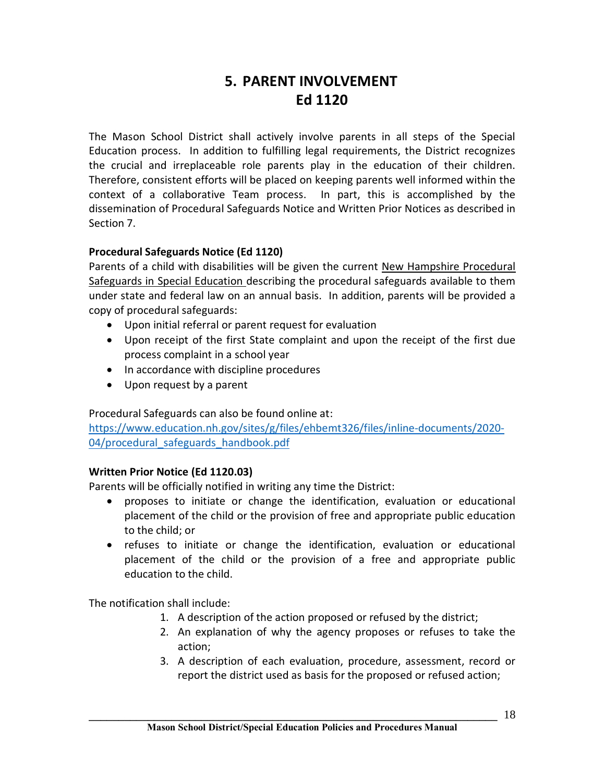# **5. PARENT INVOLVEMENT Ed 1120**

The Mason School District shall actively involve parents in all steps of the Special Education process. In addition to fulfilling legal requirements, the District recognizes the crucial and irreplaceable role parents play in the education of their children. Therefore, consistent efforts will be placed on keeping parents well informed within the context of a collaborative Team process. In part, this is accomplished by the dissemination of Procedural Safeguards Notice and Written Prior Notices as described in Section 7.

# **Procedural Safeguards Notice (Ed 1120)**

Parents of a child with disabilities will be given the current New Hampshire Procedural Safeguards in Special Education describing the procedural safeguards available to them under state and federal law on an annual basis. In addition, parents will be provided a copy of procedural safeguards:

- · Upon initial referral or parent request for evaluation
- · Upon receipt of the first State complaint and upon the receipt of the first due process complaint in a school year
- · In accordance with discipline procedures
- · Upon request by a parent

# Procedural Safeguards can also be found online at:

https://www.education.nh.gov/sites/g/files/ehbemt326/files/inline-documents/2020- 04/procedural safeguards handbook.pdf

# **Written Prior Notice (Ed 1120.03)**

Parents will be officially notified in writing any time the District:

- · proposes to initiate or change the identification, evaluation or educational placement of the child or the provision of free and appropriate public education to the child; or
- · refuses to initiate or change the identification, evaluation or educational placement of the child or the provision of a free and appropriate public education to the child.

The notification shall include:

- 1. A description of the action proposed or refused by the district;
- 2. An explanation of why the agency proposes or refuses to take the action;
- 3. A description of each evaluation, procedure, assessment, record or report the district used as basis for the proposed or refused action;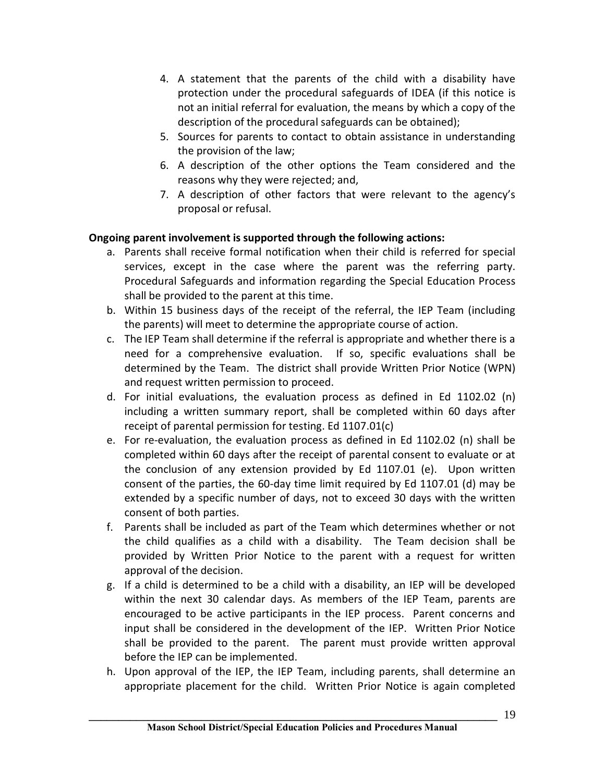- 4. A statement that the parents of the child with a disability have protection under the procedural safeguards of IDEA (if this notice is not an initial referral for evaluation, the means by which a copy of the description of the procedural safeguards can be obtained);
- 5. Sources for parents to contact to obtain assistance in understanding the provision of the law;
- 6. A description of the other options the Team considered and the reasons why they were rejected; and,
- 7. A description of other factors that were relevant to the agency's proposal or refusal.

# **Ongoing parent involvement is supported through the following actions:**

- a. Parents shall receive formal notification when their child is referred for special services, except in the case where the parent was the referring party. Procedural Safeguards and information regarding the Special Education Process shall be provided to the parent at this time.
- b. Within 15 business days of the receipt of the referral, the IEP Team (including the parents) will meet to determine the appropriate course of action.
- c. The IEP Team shall determine if the referral is appropriate and whether there is a need for a comprehensive evaluation. If so, specific evaluations shall be determined by the Team. The district shall provide Written Prior Notice (WPN) and request written permission to proceed.
- d. For initial evaluations, the evaluation process as defined in Ed 1102.02 (n) including a written summary report, shall be completed within 60 days after receipt of parental permission for testing. Ed 1107.01(c)
- e. For re-evaluation, the evaluation process as defined in Ed 1102.02 (n) shall be completed within 60 days after the receipt of parental consent to evaluate or at the conclusion of any extension provided by Ed 1107.01 (e). Upon written consent of the parties, the 60-day time limit required by Ed 1107.01 (d) may be extended by a specific number of days, not to exceed 30 days with the written consent of both parties.
- f. Parents shall be included as part of the Team which determines whether or not the child qualifies as a child with a disability. The Team decision shall be provided by Written Prior Notice to the parent with a request for written approval of the decision.
- g. If a child is determined to be a child with a disability, an IEP will be developed within the next 30 calendar days. As members of the IEP Team, parents are encouraged to be active participants in the IEP process. Parent concerns and input shall be considered in the development of the IEP. Written Prior Notice shall be provided to the parent. The parent must provide written approval before the IEP can be implemented.
- h. Upon approval of the IEP, the IEP Team, including parents, shall determine an appropriate placement for the child. Written Prior Notice is again completed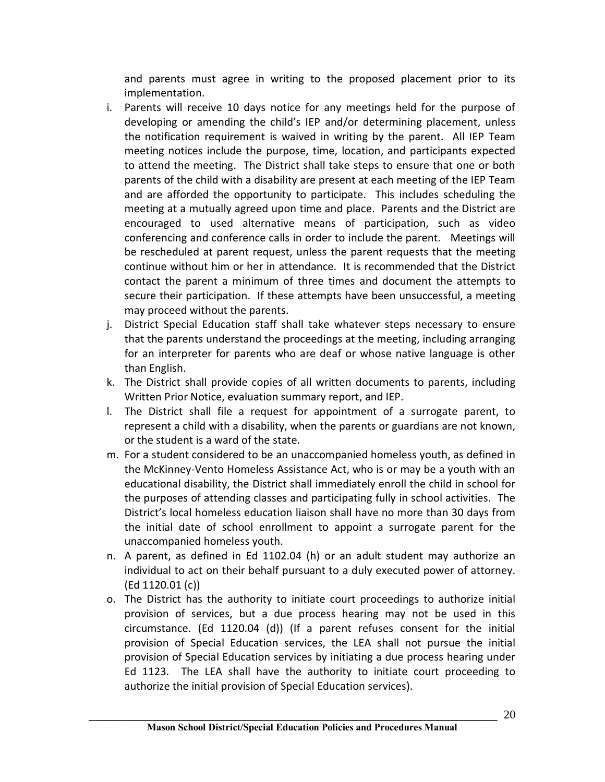and parents must agree in writing to the proposed placement prior to its implementation.

- i. Parents will receive 10 days notice for any meetings held for the purpose of developing or amending the child's IEP and/or determining placement, unless the notification requirement is waived in writing by the parent. All IEP Team meeting notices include the purpose, time, location, and participants expected to attend the meeting. The District shall take steps to ensure that one or both parents of the child with a disability are present at each meeting of the IEP Team and are afforded the opportunity to participate. This includes scheduling the meeting at a mutually agreed upon time and place. Parents and the District are encouraged to used alternative means of participation, such as video conferencing and conference calls in order to include the parent. Meetings will be rescheduled at parent request, unless the parent requests that the meeting continue without him or her in attendance. It is recommended that the District contact the parent a minimum of three times and document the attempts to secure their participation. If these attempts have been unsuccessful, a meeting may proceed without the parents.
- j. District Special Education staff shall take whatever steps necessary to ensure that the parents understand the proceedings at the meeting, including arranging for an interpreter for parents who are deaf or whose native language is other than English.
- k. The District shall provide copies of all written documents to parents, including Written Prior Notice, evaluation summary report, and IEP.
- l. The District shall file a request for appointment of a surrogate parent, to represent a child with a disability, when the parents or guardians are not known, or the student is a ward of the state.
- m. For a student considered to be an unaccompanied homeless youth, as defined in the McKinney-Vento Homeless Assistance Act, who is or may be a youth with an educational disability, the District shall immediately enroll the child in school for the purposes of attending classes and participating fully in school activities. The District's local homeless education liaison shall have no more than 30 days from the initial date of school enrollment to appoint a surrogate parent for the unaccompanied homeless youth.
- n. A parent, as defined in Ed 1102.04 (h) or an adult student may authorize an individual to act on their behalf pursuant to a duly executed power of attorney. (Ed 1120.01 (c))
- o. The District has the authority to initiate court proceedings to authorize initial provision of services, but a due process hearing may not be used in this circumstance. (Ed 1120.04 (d)) (If a parent refuses consent for the initial provision of Special Education services, the LEA shall not pursue the initial provision of Special Education services by initiating a due process hearing under Ed 1123. The LEA shall have the authority to initiate court proceeding to authorize the initial provision of Special Education services).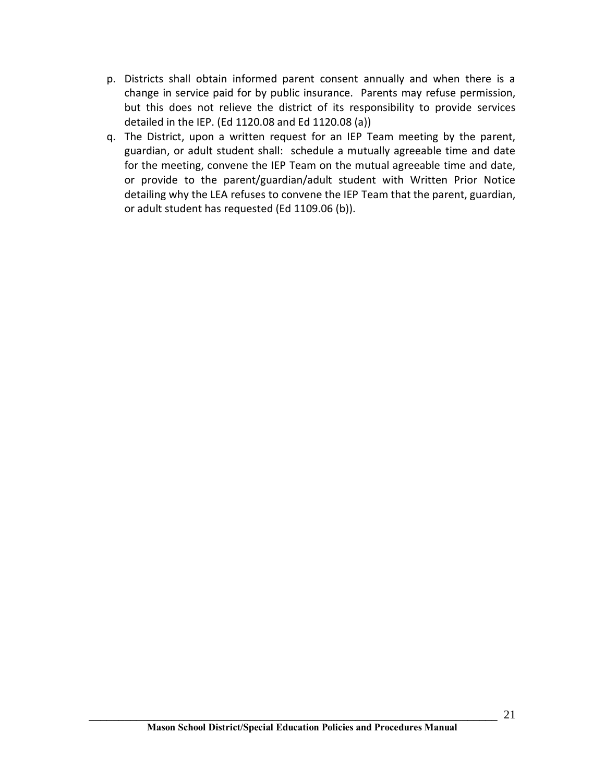- p. Districts shall obtain informed parent consent annually and when there is a change in service paid for by public insurance. Parents may refuse permission, but this does not relieve the district of its responsibility to provide services detailed in the IEP. (Ed 1120.08 and Ed 1120.08 (a))
- q. The District, upon a written request for an IEP Team meeting by the parent, guardian, or adult student shall: schedule a mutually agreeable time and date for the meeting, convene the IEP Team on the mutual agreeable time and date, or provide to the parent/guardian/adult student with Written Prior Notice detailing why the LEA refuses to convene the IEP Team that the parent, guardian, or adult student has requested (Ed 1109.06 (b)).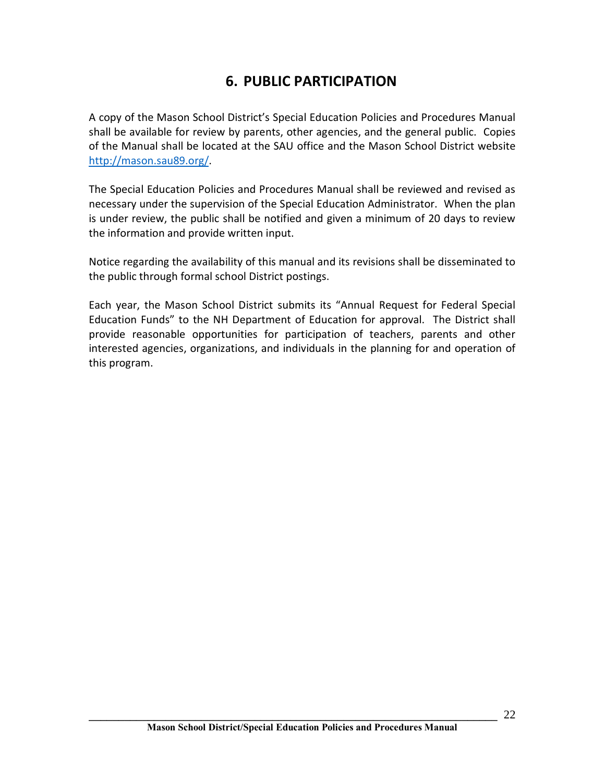# **6. PUBLIC PARTICIPATION**

A copy of the Mason School District's Special Education Policies and Procedures Manual shall be available for review by parents, other agencies, and the general public. Copies of the Manual shall be located at the SAU office and the Mason School District website http://mason.sau89.org/.

The Special Education Policies and Procedures Manual shall be reviewed and revised as necessary under the supervision of the Special Education Administrator. When the plan is under review, the public shall be notified and given a minimum of 20 days to review the information and provide written input.

Notice regarding the availability of this manual and its revisions shall be disseminated to the public through formal school District postings.

Each year, the Mason School District submits its "Annual Request for Federal Special Education Funds" to the NH Department of Education for approval. The District shall provide reasonable opportunities for participation of teachers, parents and other interested agencies, organizations, and individuals in the planning for and operation of this program.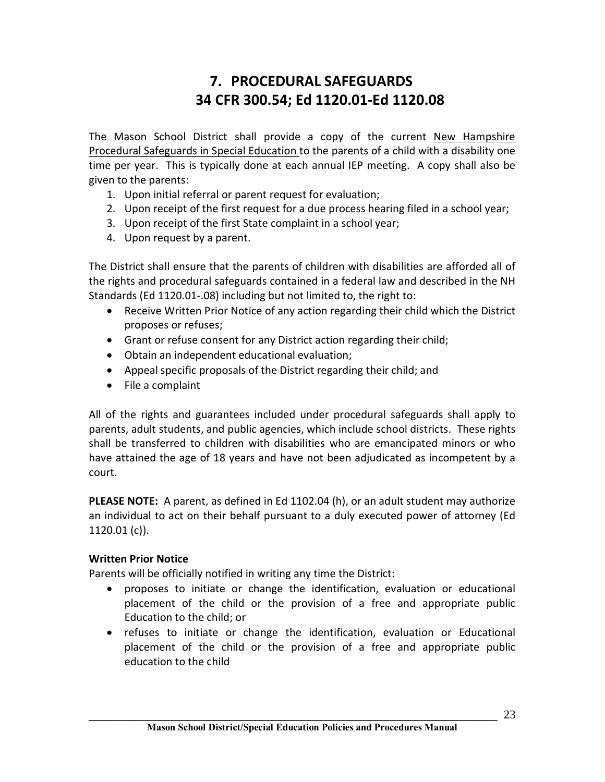# **7. PROCEDURAL SAFEGUARDS 34 CFR 300.54; Ed 1120.01-Ed 1120.08**

The Mason School District shall provide a copy of the current New Hampshire Procedural Safeguards in Special Education to the parents of a child with a disability one time per year. This is typically done at each annual IEP meeting. A copy shall also be given to the parents:

- 1. Upon initial referral or parent request for evaluation;
- 2. Upon receipt of the first request for a due process hearing filed in a school year;
- 3. Upon receipt of the first State complaint in a school year;
- 4. Upon request by a parent.

The District shall ensure that the parents of children with disabilities are afforded all of the rights and procedural safeguards contained in a federal law and described in the NH Standards (Ed 1120.01-.08) including but not limited to, the right to:

- · Receive Written Prior Notice of any action regarding their child which the District proposes or refuses;
- Grant or refuse consent for any District action regarding their child;
- · Obtain an independent educational evaluation;
- · Appeal specific proposals of the District regarding their child; and
- · File a complaint

All of the rights and guarantees included under procedural safeguards shall apply to parents, adult students, and public agencies, which include school districts. These rights shall be transferred to children with disabilities who are emancipated minors or who have attained the age of 18 years and have not been adjudicated as incompetent by a court.

**PLEASE NOTE:** A parent, as defined in Ed 1102.04 (h), or an adult student may authorize an individual to act on their behalf pursuant to a duly executed power of attorney (Ed 1120.01 (c)).

# **Written Prior Notice**

Parents will be officially notified in writing any time the District:

- · proposes to initiate or change the identification, evaluation or educational placement of the child or the provision of a free and appropriate public Education to the child; or
- · refuses to initiate or change the identification, evaluation or Educational placement of the child or the provision of a free and appropriate public education to the child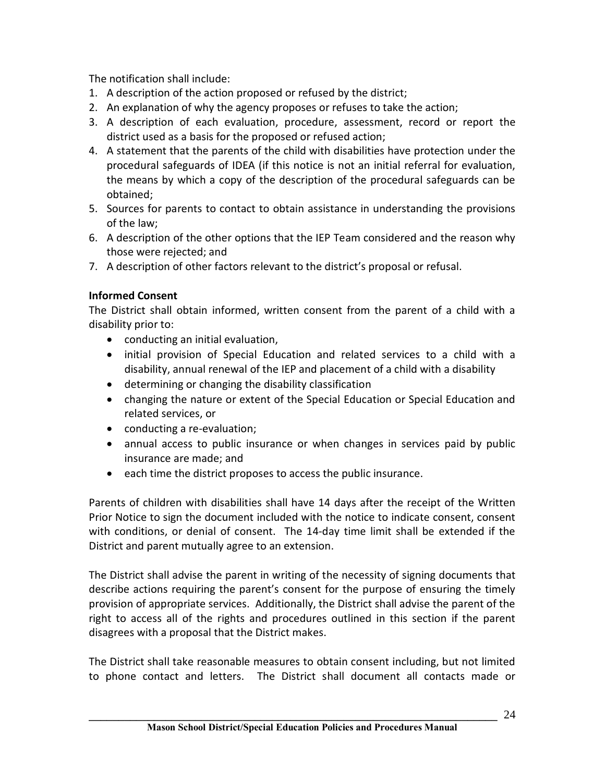The notification shall include:

- 1. A description of the action proposed or refused by the district;
- 2. An explanation of why the agency proposes or refuses to take the action;
- 3. A description of each evaluation, procedure, assessment, record or report the district used as a basis for the proposed or refused action;
- 4. A statement that the parents of the child with disabilities have protection under the procedural safeguards of IDEA (if this notice is not an initial referral for evaluation, the means by which a copy of the description of the procedural safeguards can be obtained;
- 5. Sources for parents to contact to obtain assistance in understanding the provisions of the law;
- 6. A description of the other options that the IEP Team considered and the reason why those were rejected; and
- 7. A description of other factors relevant to the district's proposal or refusal.

# **Informed Consent**

The District shall obtain informed, written consent from the parent of a child with a disability prior to:

- conducting an initial evaluation,
- · initial provision of Special Education and related services to a child with a disability, annual renewal of the IEP and placement of a child with a disability
- · determining or changing the disability classification
- · changing the nature or extent of the Special Education or Special Education and related services, or
- · conducting a re-evaluation;
- · annual access to public insurance or when changes in services paid by public insurance are made; and
- · each time the district proposes to access the public insurance.

Parents of children with disabilities shall have 14 days after the receipt of the Written Prior Notice to sign the document included with the notice to indicate consent, consent with conditions, or denial of consent. The 14-day time limit shall be extended if the District and parent mutually agree to an extension.

The District shall advise the parent in writing of the necessity of signing documents that describe actions requiring the parent's consent for the purpose of ensuring the timely provision of appropriate services. Additionally, the District shall advise the parent of the right to access all of the rights and procedures outlined in this section if the parent disagrees with a proposal that the District makes.

The District shall take reasonable measures to obtain consent including, but not limited to phone contact and letters. The District shall document all contacts made or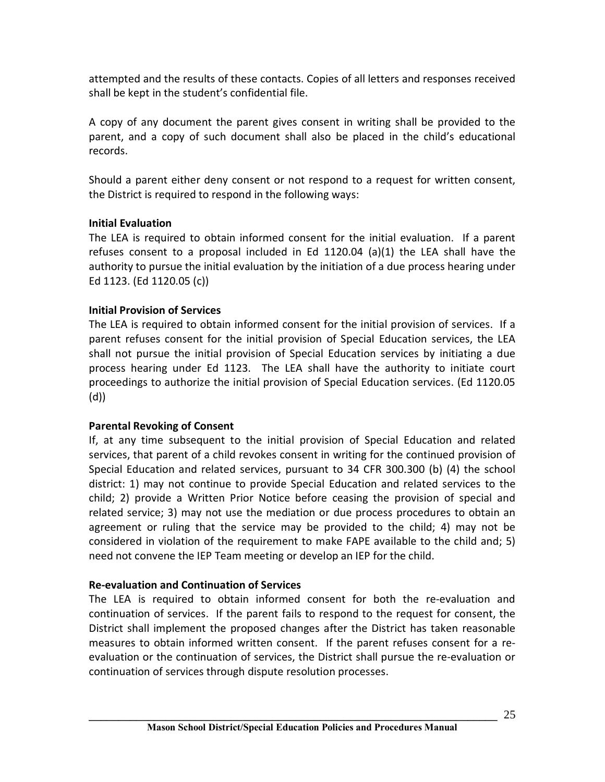attempted and the results of these contacts. Copies of all letters and responses received shall be kept in the student's confidential file.

A copy of any document the parent gives consent in writing shall be provided to the parent, and a copy of such document shall also be placed in the child's educational records.

Should a parent either deny consent or not respond to a request for written consent, the District is required to respond in the following ways:

# **Initial Evaluation**

The LEA is required to obtain informed consent for the initial evaluation. If a parent refuses consent to a proposal included in Ed 1120.04 (a)(1) the LEA shall have the authority to pursue the initial evaluation by the initiation of a due process hearing under Ed 1123. (Ed 1120.05 (c))

# **Initial Provision of Services**

The LEA is required to obtain informed consent for the initial provision of services. If a parent refuses consent for the initial provision of Special Education services, the LEA shall not pursue the initial provision of Special Education services by initiating a due process hearing under Ed 1123. The LEA shall have the authority to initiate court proceedings to authorize the initial provision of Special Education services. (Ed 1120.05 (d))

# **Parental Revoking of Consent**

If, at any time subsequent to the initial provision of Special Education and related services, that parent of a child revokes consent in writing for the continued provision of Special Education and related services, pursuant to 34 CFR 300.300 (b) (4) the school district: 1) may not continue to provide Special Education and related services to the child; 2) provide a Written Prior Notice before ceasing the provision of special and related service; 3) may not use the mediation or due process procedures to obtain an agreement or ruling that the service may be provided to the child; 4) may not be considered in violation of the requirement to make FAPE available to the child and; 5) need not convene the IEP Team meeting or develop an IEP for the child.

# **Re-evaluation and Continuation of Services**

The LEA is required to obtain informed consent for both the re-evaluation and continuation of services. If the parent fails to respond to the request for consent, the District shall implement the proposed changes after the District has taken reasonable measures to obtain informed written consent. If the parent refuses consent for a reevaluation or the continuation of services, the District shall pursue the re-evaluation or continuation of services through dispute resolution processes.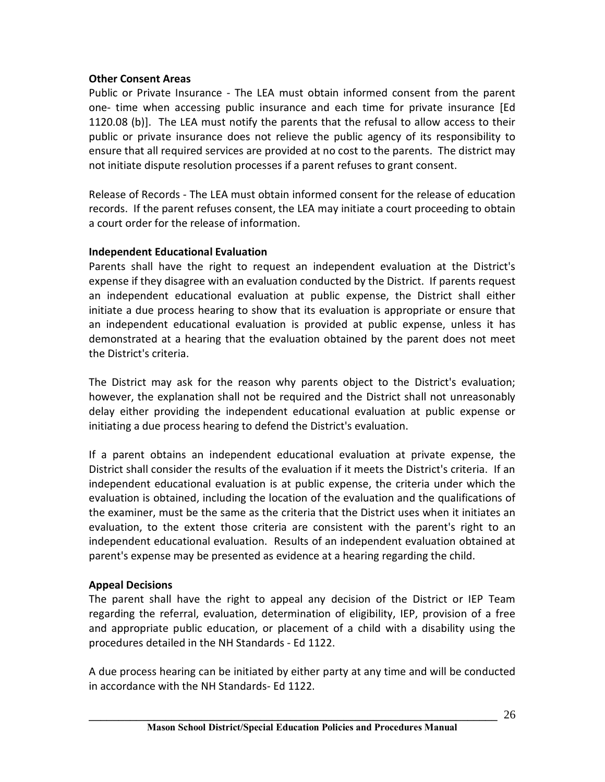## **Other Consent Areas**

Public or Private Insurance - The LEA must obtain informed consent from the parent one- time when accessing public insurance and each time for private insurance [Ed 1120.08 (b)]. The LEA must notify the parents that the refusal to allow access to their public or private insurance does not relieve the public agency of its responsibility to ensure that all required services are provided at no cost to the parents. The district may not initiate dispute resolution processes if a parent refuses to grant consent.

Release of Records - The LEA must obtain informed consent for the release of education records. If the parent refuses consent, the LEA may initiate a court proceeding to obtain a court order for the release of information.

## **Independent Educational Evaluation**

Parents shall have the right to request an independent evaluation at the District's expense if they disagree with an evaluation conducted by the District. If parents request an independent educational evaluation at public expense, the District shall either initiate a due process hearing to show that its evaluation is appropriate or ensure that an independent educational evaluation is provided at public expense, unless it has demonstrated at a hearing that the evaluation obtained by the parent does not meet the District's criteria.

The District may ask for the reason why parents object to the District's evaluation; however, the explanation shall not be required and the District shall not unreasonably delay either providing the independent educational evaluation at public expense or initiating a due process hearing to defend the District's evaluation.

If a parent obtains an independent educational evaluation at private expense, the District shall consider the results of the evaluation if it meets the District's criteria. If an independent educational evaluation is at public expense, the criteria under which the evaluation is obtained, including the location of the evaluation and the qualifications of the examiner, must be the same as the criteria that the District uses when it initiates an evaluation, to the extent those criteria are consistent with the parent's right to an independent educational evaluation. Results of an independent evaluation obtained at parent's expense may be presented as evidence at a hearing regarding the child.

# **Appeal Decisions**

The parent shall have the right to appeal any decision of the District or IEP Team regarding the referral, evaluation, determination of eligibility, IEP, provision of a free and appropriate public education, or placement of a child with a disability using the procedures detailed in the NH Standards - Ed 1122.

A due process hearing can be initiated by either party at any time and will be conducted in accordance with the NH Standards- Ed 1122.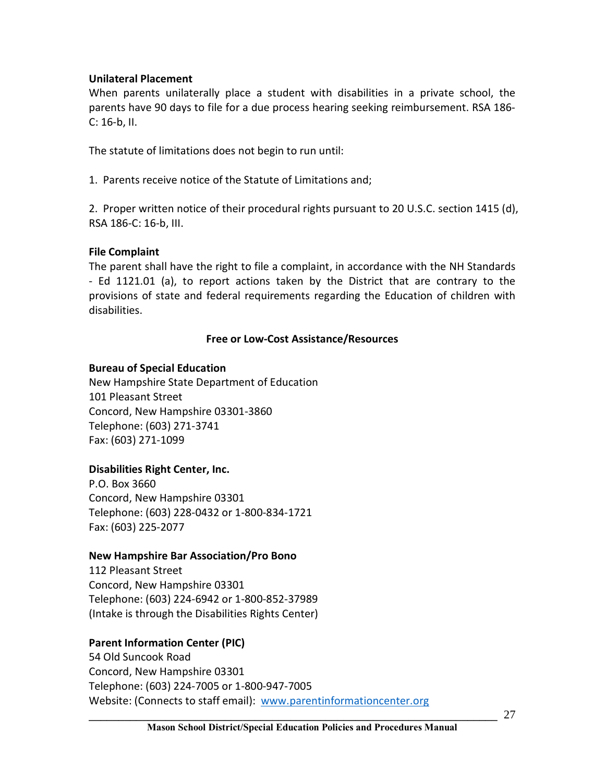## **Unilateral Placement**

When parents unilaterally place a student with disabilities in a private school, the parents have 90 days to file for a due process hearing seeking reimbursement. RSA 186- C: 16-b, II.

The statute of limitations does not begin to run until:

1. Parents receive notice of the Statute of Limitations and;

2. Proper written notice of their procedural rights pursuant to 20 U.S.C. section 1415 (d), RSA 186-C: 16-b, III.

## **File Complaint**

The parent shall have the right to file a complaint, in accordance with the NH Standards - Ed 1121.01 (a), to report actions taken by the District that are contrary to the provisions of state and federal requirements regarding the Education of children with disabilities.

## **Free or Low-Cost Assistance/Resources**

#### **Bureau of Special Education**

New Hampshire State Department of Education 101 Pleasant Street Concord, New Hampshire 03301-3860 Telephone: (603) 271-3741 Fax: (603) 271-1099

# **Disabilities Right Center, Inc.**

P.O. Box 3660 Concord, New Hampshire 03301 Telephone: (603) 228-0432 or 1-800-834-1721 Fax: (603) 225-2077

#### **New Hampshire Bar Association/Pro Bono**

112 Pleasant Street Concord, New Hampshire 03301 Telephone: (603) 224-6942 or 1-800-852-37989 (Intake is through the Disabilities Rights Center)

# **Parent Information Center (PIC)**

54 Old Suncook Road Concord, New Hampshire 03301 Telephone: (603) 224-7005 or 1-800-947-7005 Website: (Connects to staff email): www.parentinformationcenter.org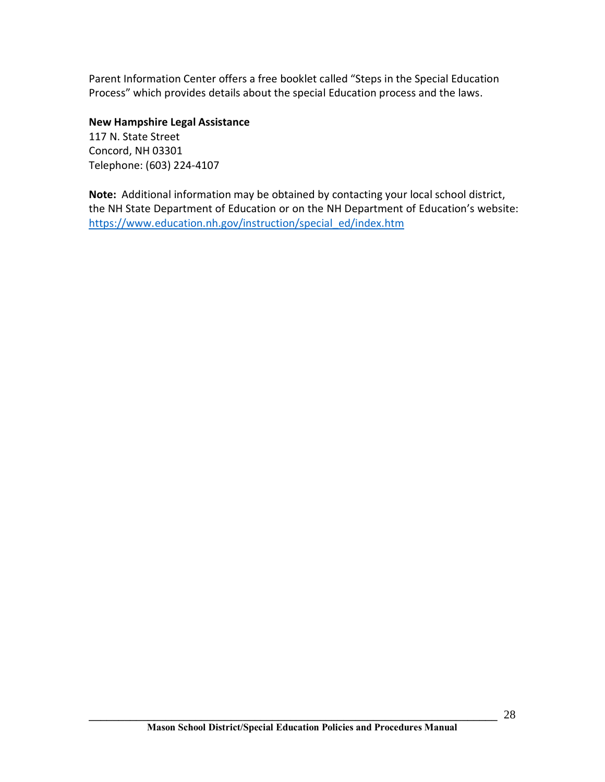Parent Information Center offers a free booklet called "Steps in the Special Education Process" which provides details about the special Education process and the laws.

**New Hampshire Legal Assistance** 117 N. State Street Concord, NH 03301 Telephone: (603) 224-4107

**Note:** Additional information may be obtained by contacting your local school district, the NH State Department of Education or on the NH Department of Education's website: https://www.education.nh.gov/instruction/special\_ed/index.htm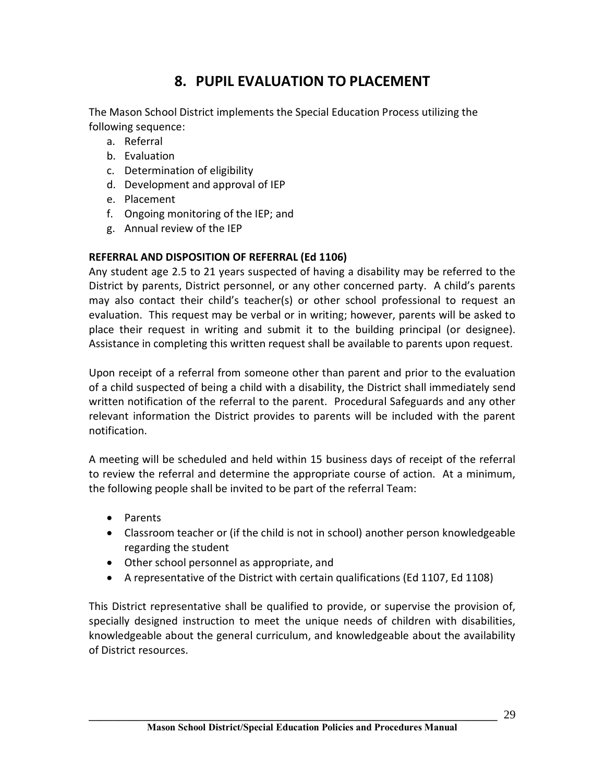# **8. PUPIL EVALUATION TO PLACEMENT**

The Mason School District implements the Special Education Process utilizing the following sequence:

- a. Referral
- b. Evaluation
- c. Determination of eligibility
- d. Development and approval of IEP
- e. Placement
- f. Ongoing monitoring of the IEP; and
- g. Annual review of the IEP

# **REFERRAL AND DISPOSITION OF REFERRAL (Ed 1106)**

Any student age 2.5 to 21 years suspected of having a disability may be referred to the District by parents, District personnel, or any other concerned party. A child's parents may also contact their child's teacher(s) or other school professional to request an evaluation. This request may be verbal or in writing; however, parents will be asked to place their request in writing and submit it to the building principal (or designee). Assistance in completing this written request shall be available to parents upon request.

Upon receipt of a referral from someone other than parent and prior to the evaluation of a child suspected of being a child with a disability, the District shall immediately send written notification of the referral to the parent. Procedural Safeguards and any other relevant information the District provides to parents will be included with the parent notification.

A meeting will be scheduled and held within 15 business days of receipt of the referral to review the referral and determine the appropriate course of action. At a minimum, the following people shall be invited to be part of the referral Team:

- · Parents
- · Classroom teacher or (if the child is not in school) another person knowledgeable regarding the student
- · Other school personnel as appropriate, and
- · A representative of the District with certain qualifications (Ed 1107, Ed 1108)

This District representative shall be qualified to provide, or supervise the provision of, specially designed instruction to meet the unique needs of children with disabilities, knowledgeable about the general curriculum, and knowledgeable about the availability of District resources.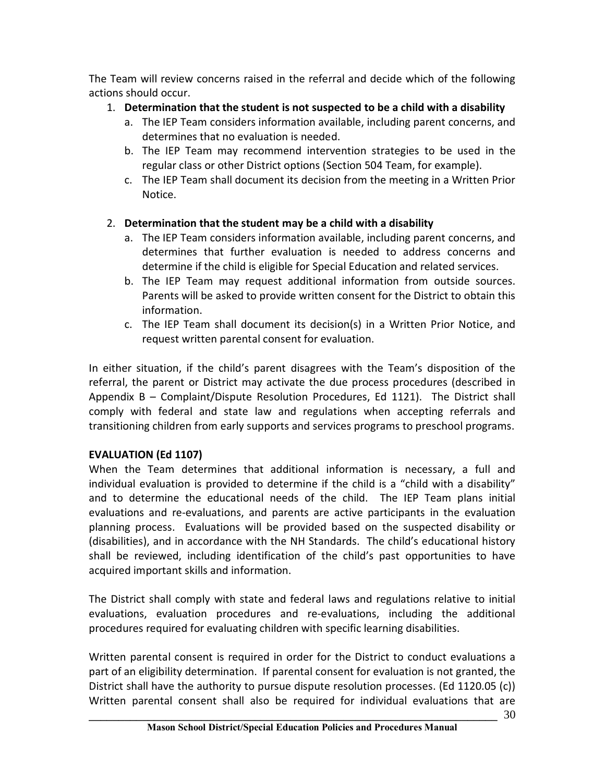The Team will review concerns raised in the referral and decide which of the following actions should occur.

# 1. **Determination that the student is not suspected to be a child with a disability**

- a. The IEP Team considers information available, including parent concerns, and determines that no evaluation is needed.
- b. The IEP Team may recommend intervention strategies to be used in the regular class or other District options (Section 504 Team, for example).
- c. The IEP Team shall document its decision from the meeting in a Written Prior Notice.

# 2. **Determination that the student may be a child with a disability**

- a. The IEP Team considers information available, including parent concerns, and determines that further evaluation is needed to address concerns and determine if the child is eligible for Special Education and related services.
- b. The IEP Team may request additional information from outside sources. Parents will be asked to provide written consent for the District to obtain this information.
- c. The IEP Team shall document its decision(s) in a Written Prior Notice, and request written parental consent for evaluation.

In either situation, if the child's parent disagrees with the Team's disposition of the referral, the parent or District may activate the due process procedures (described in Appendix B – Complaint/Dispute Resolution Procedures, Ed 1121). The District shall comply with federal and state law and regulations when accepting referrals and transitioning children from early supports and services programs to preschool programs.

# **EVALUATION (Ed 1107)**

When the Team determines that additional information is necessary, a full and individual evaluation is provided to determine if the child is a "child with a disability" and to determine the educational needs of the child. The IEP Team plans initial evaluations and re-evaluations, and parents are active participants in the evaluation planning process. Evaluations will be provided based on the suspected disability or (disabilities), and in accordance with the NH Standards. The child's educational history shall be reviewed, including identification of the child's past opportunities to have acquired important skills and information.

The District shall comply with state and federal laws and regulations relative to initial evaluations, evaluation procedures and re-evaluations, including the additional procedures required for evaluating children with specific learning disabilities.

Written parental consent is required in order for the District to conduct evaluations a part of an eligibility determination. If parental consent for evaluation is not granted, the District shall have the authority to pursue dispute resolution processes. (Ed 1120.05 (c)) Written parental consent shall also be required for individual evaluations that are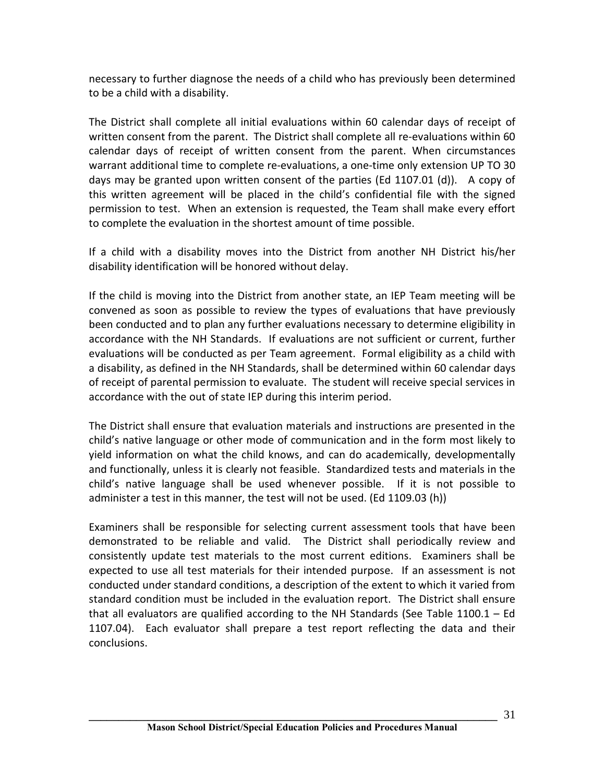necessary to further diagnose the needs of a child who has previously been determined to be a child with a disability.

The District shall complete all initial evaluations within 60 calendar days of receipt of written consent from the parent. The District shall complete all re-evaluations within 60 calendar days of receipt of written consent from the parent. When circumstances warrant additional time to complete re-evaluations, a one-time only extension UP TO 30 days may be granted upon written consent of the parties (Ed 1107.01 (d)). A copy of this written agreement will be placed in the child's confidential file with the signed permission to test. When an extension is requested, the Team shall make every effort to complete the evaluation in the shortest amount of time possible.

If a child with a disability moves into the District from another NH District his/her disability identification will be honored without delay.

If the child is moving into the District from another state, an IEP Team meeting will be convened as soon as possible to review the types of evaluations that have previously been conducted and to plan any further evaluations necessary to determine eligibility in accordance with the NH Standards. If evaluations are not sufficient or current, further evaluations will be conducted as per Team agreement. Formal eligibility as a child with a disability, as defined in the NH Standards, shall be determined within 60 calendar days of receipt of parental permission to evaluate. The student will receive special services in accordance with the out of state IEP during this interim period.

The District shall ensure that evaluation materials and instructions are presented in the child's native language or other mode of communication and in the form most likely to yield information on what the child knows, and can do academically, developmentally and functionally, unless it is clearly not feasible. Standardized tests and materials in the child's native language shall be used whenever possible. If it is not possible to administer a test in this manner, the test will not be used. (Ed 1109.03 (h))

Examiners shall be responsible for selecting current assessment tools that have been demonstrated to be reliable and valid. The District shall periodically review and consistently update test materials to the most current editions. Examiners shall be expected to use all test materials for their intended purpose. If an assessment is not conducted under standard conditions, a description of the extent to which it varied from standard condition must be included in the evaluation report. The District shall ensure that all evaluators are qualified according to the NH Standards (See Table 1100.1 – Ed 1107.04). Each evaluator shall prepare a test report reflecting the data and their conclusions.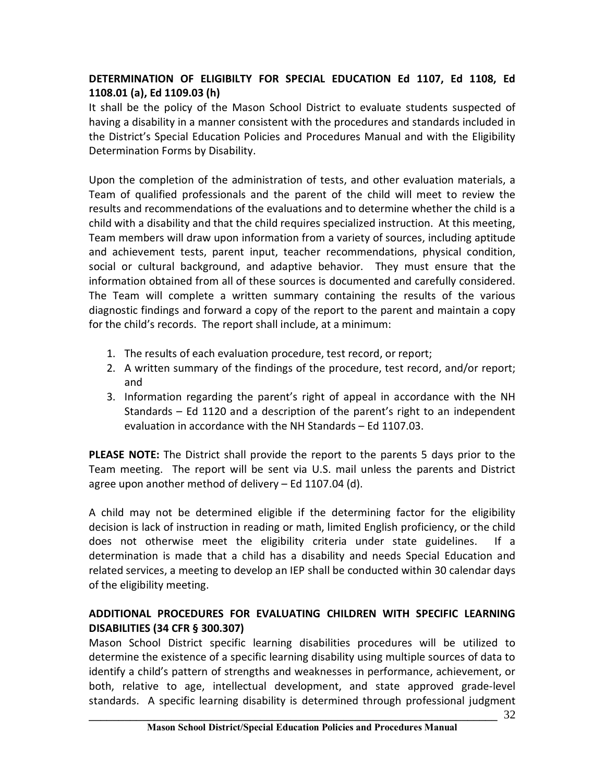# **DETERMINATION OF ELIGIBILTY FOR SPECIAL EDUCATION Ed 1107, Ed 1108, Ed 1108.01 (a), Ed 1109.03 (h)**

It shall be the policy of the Mason School District to evaluate students suspected of having a disability in a manner consistent with the procedures and standards included in the District's Special Education Policies and Procedures Manual and with the Eligibility Determination Forms by Disability.

Upon the completion of the administration of tests, and other evaluation materials, a Team of qualified professionals and the parent of the child will meet to review the results and recommendations of the evaluations and to determine whether the child is a child with a disability and that the child requires specialized instruction. At this meeting, Team members will draw upon information from a variety of sources, including aptitude and achievement tests, parent input, teacher recommendations, physical condition, social or cultural background, and adaptive behavior. They must ensure that the information obtained from all of these sources is documented and carefully considered. The Team will complete a written summary containing the results of the various diagnostic findings and forward a copy of the report to the parent and maintain a copy for the child's records. The report shall include, at a minimum:

- 1. The results of each evaluation procedure, test record, or report;
- 2. A written summary of the findings of the procedure, test record, and/or report; and
- 3. Information regarding the parent's right of appeal in accordance with the NH Standards – Ed 1120 and a description of the parent's right to an independent evaluation in accordance with the NH Standards – Ed 1107.03.

**PLEASE NOTE:** The District shall provide the report to the parents 5 days prior to the Team meeting. The report will be sent via U.S. mail unless the parents and District agree upon another method of delivery – Ed 1107.04 (d).

A child may not be determined eligible if the determining factor for the eligibility decision is lack of instruction in reading or math, limited English proficiency, or the child does not otherwise meet the eligibility criteria under state guidelines. If a determination is made that a child has a disability and needs Special Education and related services, a meeting to develop an IEP shall be conducted within 30 calendar days of the eligibility meeting.

# **ADDITIONAL PROCEDURES FOR EVALUATING CHILDREN WITH SPECIFIC LEARNING DISABILITIES (34 CFR § 300.307)**

Mason School District specific learning disabilities procedures will be utilized to determine the existence of a specific learning disability using multiple sources of data to identify a child's pattern of strengths and weaknesses in performance, achievement, or both, relative to age, intellectual development, and state approved grade-level standards. A specific learning disability is determined through professional judgment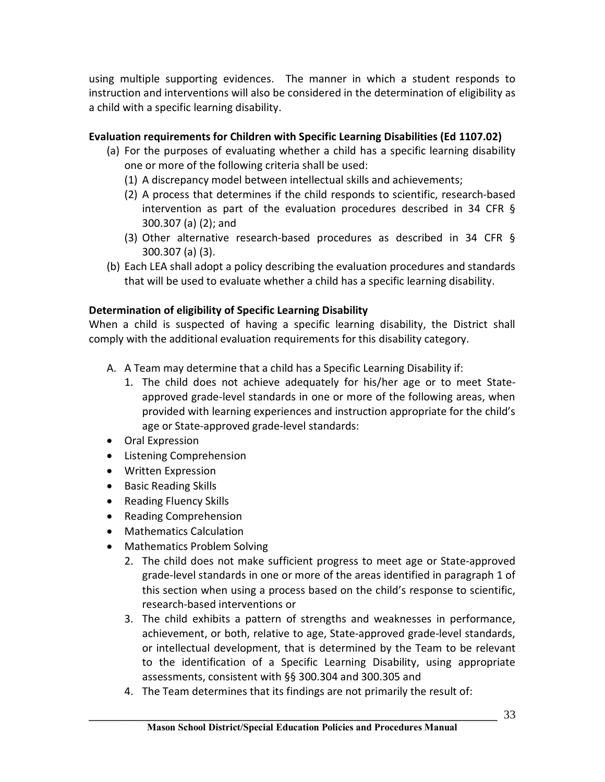using multiple supporting evidences. The manner in which a student responds to instruction and interventions will also be considered in the determination of eligibility as a child with a specific learning disability.

# **Evaluation requirements for Children with Specific Learning Disabilities (Ed 1107.02)**

- (a) For the purposes of evaluating whether a child has a specific learning disability one or more of the following criteria shall be used:
	- (1) A discrepancy model between intellectual skills and achievements;
	- (2) A process that determines if the child responds to scientific, research-based intervention as part of the evaluation procedures described in 34 CFR § 300.307 (a) (2); and
	- (3) Other alternative research-based procedures as described in 34 CFR § 300.307 (a) (3).
- (b) Each LEA shall adopt a policy describing the evaluation procedures and standards that will be used to evaluate whether a child has a specific learning disability.

# **Determination of eligibility of Specific Learning Disability**

When a child is suspected of having a specific learning disability, the District shall comply with the additional evaluation requirements for this disability category.

- A. A Team may determine that a child has a Specific Learning Disability if:
	- 1. The child does not achieve adequately for his/her age or to meet Stateapproved grade-level standards in one or more of the following areas, when provided with learning experiences and instruction appropriate for the child's age or State-approved grade-level standards:
- · Oral Expression
- · Listening Comprehension
- · Written Expression
- · Basic Reading Skills
- Reading Fluency Skills
- · Reading Comprehension
- · Mathematics Calculation
- · Mathematics Problem Solving
	- 2. The child does not make sufficient progress to meet age or State-approved grade-level standards in one or more of the areas identified in paragraph 1 of this section when using a process based on the child's response to scientific, research-based interventions or
	- 3. The child exhibits a pattern of strengths and weaknesses in performance, achievement, or both, relative to age, State-approved grade-level standards, or intellectual development, that is determined by the Team to be relevant to the identification of a Specific Learning Disability, using appropriate assessments, consistent with §§ 300.304 and 300.305 and
	- 4. The Team determines that its findings are not primarily the result of: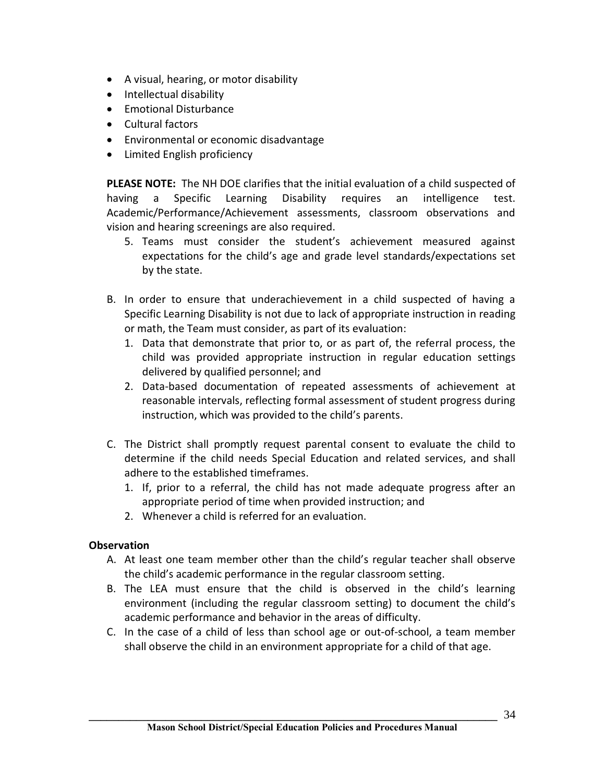- · A visual, hearing, or motor disability
- · Intellectual disability
- · Emotional Disturbance
- · Cultural factors
- · Environmental or economic disadvantage
- · Limited English proficiency

**PLEASE NOTE:** The NH DOE clarifies that the initial evaluation of a child suspected of having a Specific Learning Disability requires an intelligence test. Academic/Performance/Achievement assessments, classroom observations and vision and hearing screenings are also required.

- 5. Teams must consider the student's achievement measured against expectations for the child's age and grade level standards/expectations set by the state.
- B. In order to ensure that underachievement in a child suspected of having a Specific Learning Disability is not due to lack of appropriate instruction in reading or math, the Team must consider, as part of its evaluation:
	- 1. Data that demonstrate that prior to, or as part of, the referral process, the child was provided appropriate instruction in regular education settings delivered by qualified personnel; and
	- 2. Data-based documentation of repeated assessments of achievement at reasonable intervals, reflecting formal assessment of student progress during instruction, which was provided to the child's parents.
- C. The District shall promptly request parental consent to evaluate the child to determine if the child needs Special Education and related services, and shall adhere to the established timeframes.
	- 1. If, prior to a referral, the child has not made adequate progress after an appropriate period of time when provided instruction; and
	- 2. Whenever a child is referred for an evaluation.

# **Observation**

- A. At least one team member other than the child's regular teacher shall observe the child's academic performance in the regular classroom setting.
- B. The LEA must ensure that the child is observed in the child's learning environment (including the regular classroom setting) to document the child's academic performance and behavior in the areas of difficulty.
- C. In the case of a child of less than school age or out-of-school, a team member shall observe the child in an environment appropriate for a child of that age.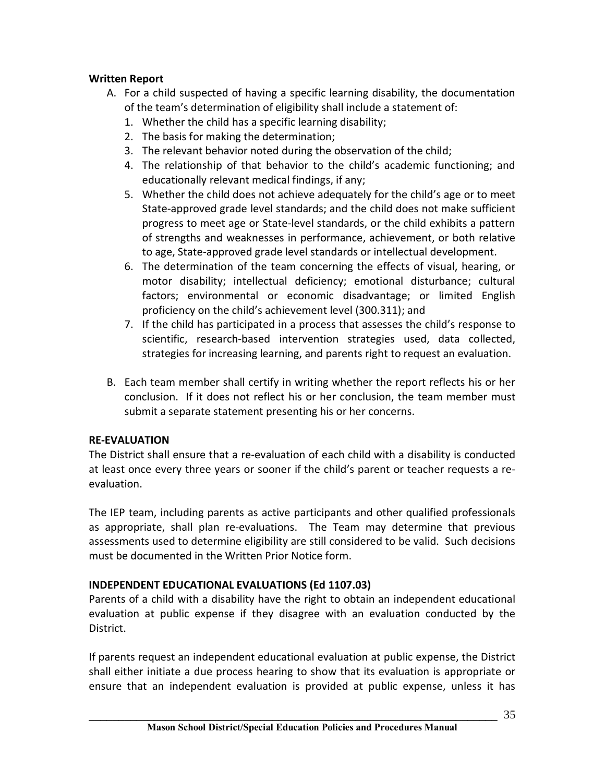# **Written Report**

- A. For a child suspected of having a specific learning disability, the documentation of the team's determination of eligibility shall include a statement of:
	- 1. Whether the child has a specific learning disability;
	- 2. The basis for making the determination;
	- 3. The relevant behavior noted during the observation of the child;
	- 4. The relationship of that behavior to the child's academic functioning; and educationally relevant medical findings, if any;
	- 5. Whether the child does not achieve adequately for the child's age or to meet State-approved grade level standards; and the child does not make sufficient progress to meet age or State-level standards, or the child exhibits a pattern of strengths and weaknesses in performance, achievement, or both relative to age, State-approved grade level standards or intellectual development.
	- 6. The determination of the team concerning the effects of visual, hearing, or motor disability; intellectual deficiency; emotional disturbance; cultural factors; environmental or economic disadvantage; or limited English proficiency on the child's achievement level (300.311); and
	- 7. If the child has participated in a process that assesses the child's response to scientific, research-based intervention strategies used, data collected, strategies for increasing learning, and parents right to request an evaluation.
- B. Each team member shall certify in writing whether the report reflects his or her conclusion. If it does not reflect his or her conclusion, the team member must submit a separate statement presenting his or her concerns.

# **RE-EVALUATION**

The District shall ensure that a re-evaluation of each child with a disability is conducted at least once every three years or sooner if the child's parent or teacher requests a reevaluation.

The IEP team, including parents as active participants and other qualified professionals as appropriate, shall plan re-evaluations. The Team may determine that previous assessments used to determine eligibility are still considered to be valid. Such decisions must be documented in the Written Prior Notice form.

# **INDEPENDENT EDUCATIONAL EVALUATIONS (Ed 1107.03)**

Parents of a child with a disability have the right to obtain an independent educational evaluation at public expense if they disagree with an evaluation conducted by the District.

If parents request an independent educational evaluation at public expense, the District shall either initiate a due process hearing to show that its evaluation is appropriate or ensure that an independent evaluation is provided at public expense, unless it has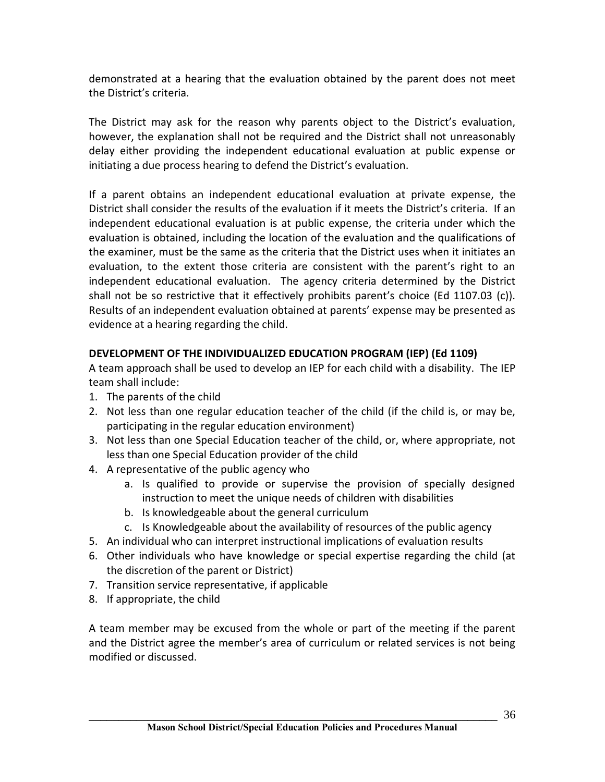demonstrated at a hearing that the evaluation obtained by the parent does not meet the District's criteria.

The District may ask for the reason why parents object to the District's evaluation, however, the explanation shall not be required and the District shall not unreasonably delay either providing the independent educational evaluation at public expense or initiating a due process hearing to defend the District's evaluation.

If a parent obtains an independent educational evaluation at private expense, the District shall consider the results of the evaluation if it meets the District's criteria. If an independent educational evaluation is at public expense, the criteria under which the evaluation is obtained, including the location of the evaluation and the qualifications of the examiner, must be the same as the criteria that the District uses when it initiates an evaluation, to the extent those criteria are consistent with the parent's right to an independent educational evaluation. The agency criteria determined by the District shall not be so restrictive that it effectively prohibits parent's choice (Ed 1107.03 (c)). Results of an independent evaluation obtained at parents' expense may be presented as evidence at a hearing regarding the child.

# **DEVELOPMENT OF THE INDIVIDUALIZED EDUCATION PROGRAM (IEP) (Ed 1109)**

A team approach shall be used to develop an IEP for each child with a disability. The IEP team shall include:

- 1. The parents of the child
- 2. Not less than one regular education teacher of the child (if the child is, or may be, participating in the regular education environment)
- 3. Not less than one Special Education teacher of the child, or, where appropriate, not less than one Special Education provider of the child
- 4. A representative of the public agency who
	- a. Is qualified to provide or supervise the provision of specially designed instruction to meet the unique needs of children with disabilities
	- b. Is knowledgeable about the general curriculum
	- c. Is Knowledgeable about the availability of resources of the public agency
- 5. An individual who can interpret instructional implications of evaluation results
- 6. Other individuals who have knowledge or special expertise regarding the child (at the discretion of the parent or District)
- 7. Transition service representative, if applicable
- 8. If appropriate, the child

A team member may be excused from the whole or part of the meeting if the parent and the District agree the member's area of curriculum or related services is not being modified or discussed.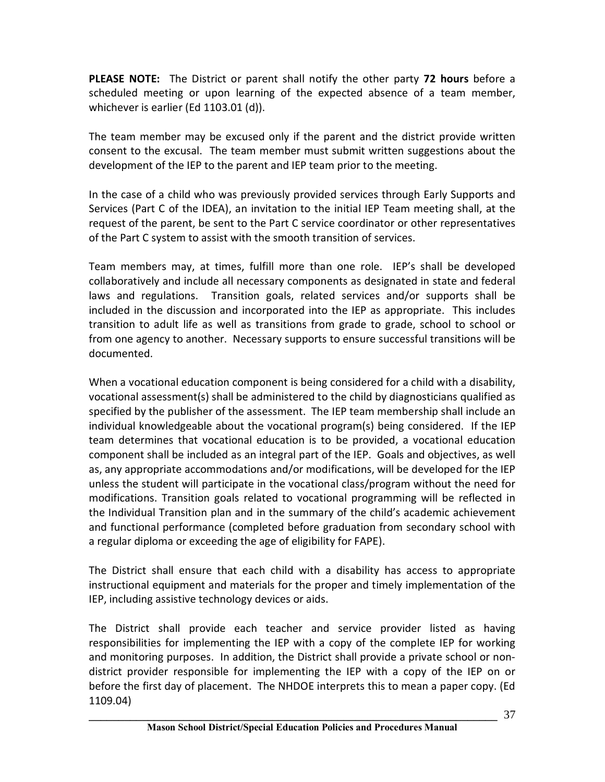**PLEASE NOTE:** The District or parent shall notify the other party **72 hours** before a scheduled meeting or upon learning of the expected absence of a team member, whichever is earlier (Ed 1103.01 (d)).

The team member may be excused only if the parent and the district provide written consent to the excusal. The team member must submit written suggestions about the development of the IEP to the parent and IEP team prior to the meeting.

In the case of a child who was previously provided services through Early Supports and Services (Part C of the IDEA), an invitation to the initial IEP Team meeting shall, at the request of the parent, be sent to the Part C service coordinator or other representatives of the Part C system to assist with the smooth transition of services.

Team members may, at times, fulfill more than one role. IEP's shall be developed collaboratively and include all necessary components as designated in state and federal laws and regulations. Transition goals, related services and/or supports shall be included in the discussion and incorporated into the IEP as appropriate. This includes transition to adult life as well as transitions from grade to grade, school to school or from one agency to another. Necessary supports to ensure successful transitions will be documented.

When a vocational education component is being considered for a child with a disability, vocational assessment(s) shall be administered to the child by diagnosticians qualified as specified by the publisher of the assessment. The IEP team membership shall include an individual knowledgeable about the vocational program(s) being considered. If the IEP team determines that vocational education is to be provided, a vocational education component shall be included as an integral part of the IEP. Goals and objectives, as well as, any appropriate accommodations and/or modifications, will be developed for the IEP unless the student will participate in the vocational class/program without the need for modifications. Transition goals related to vocational programming will be reflected in the Individual Transition plan and in the summary of the child's academic achievement and functional performance (completed before graduation from secondary school with a regular diploma or exceeding the age of eligibility for FAPE).

The District shall ensure that each child with a disability has access to appropriate instructional equipment and materials for the proper and timely implementation of the IEP, including assistive technology devices or aids.

The District shall provide each teacher and service provider listed as having responsibilities for implementing the IEP with a copy of the complete IEP for working and monitoring purposes. In addition, the District shall provide a private school or nondistrict provider responsible for implementing the IEP with a copy of the IEP on or before the first day of placement. The NHDOE interprets this to mean a paper copy. (Ed 1109.04)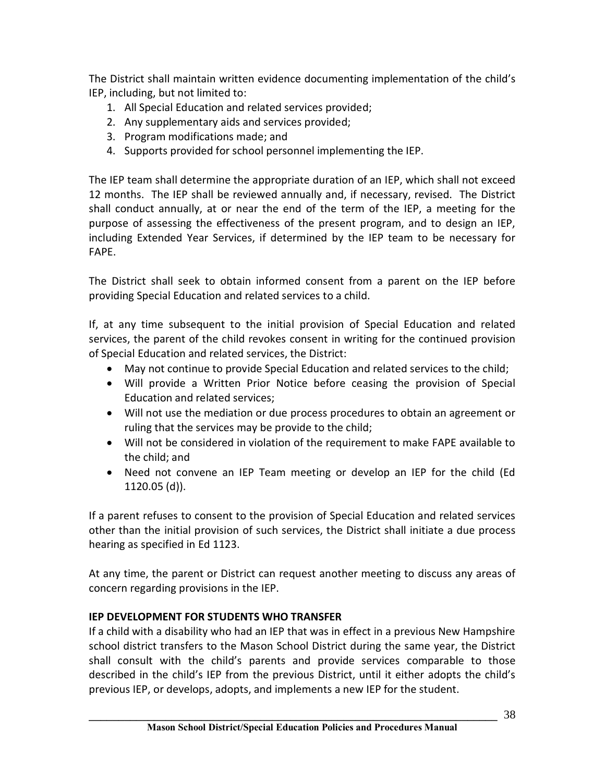The District shall maintain written evidence documenting implementation of the child's IEP, including, but not limited to:

- 1. All Special Education and related services provided;
- 2. Any supplementary aids and services provided;
- 3. Program modifications made; and
- 4. Supports provided for school personnel implementing the IEP.

The IEP team shall determine the appropriate duration of an IEP, which shall not exceed 12 months. The IEP shall be reviewed annually and, if necessary, revised. The District shall conduct annually, at or near the end of the term of the IEP, a meeting for the purpose of assessing the effectiveness of the present program, and to design an IEP, including Extended Year Services, if determined by the IEP team to be necessary for FAPE.

The District shall seek to obtain informed consent from a parent on the IEP before providing Special Education and related services to a child.

If, at any time subsequent to the initial provision of Special Education and related services, the parent of the child revokes consent in writing for the continued provision of Special Education and related services, the District:

- · May not continue to provide Special Education and related services to the child;
- · Will provide a Written Prior Notice before ceasing the provision of Special Education and related services;
- · Will not use the mediation or due process procedures to obtain an agreement or ruling that the services may be provide to the child;
- · Will not be considered in violation of the requirement to make FAPE available to the child; and
- · Need not convene an IEP Team meeting or develop an IEP for the child (Ed 1120.05 (d)).

If a parent refuses to consent to the provision of Special Education and related services other than the initial provision of such services, the District shall initiate a due process hearing as specified in Ed 1123.

At any time, the parent or District can request another meeting to discuss any areas of concern regarding provisions in the IEP.

# **IEP DEVELOPMENT FOR STUDENTS WHO TRANSFER**

If a child with a disability who had an IEP that was in effect in a previous New Hampshire school district transfers to the Mason School District during the same year, the District shall consult with the child's parents and provide services comparable to those described in the child's IEP from the previous District, until it either adopts the child's previous IEP, or develops, adopts, and implements a new IEP for the student.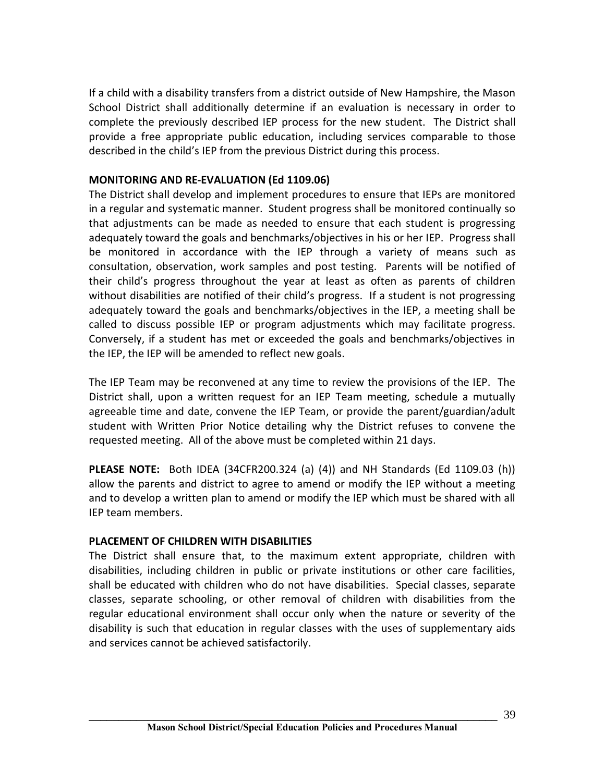If a child with a disability transfers from a district outside of New Hampshire, the Mason School District shall additionally determine if an evaluation is necessary in order to complete the previously described IEP process for the new student. The District shall provide a free appropriate public education, including services comparable to those described in the child's IEP from the previous District during this process.

## **MONITORING AND RE-EVALUATION (Ed 1109.06)**

The District shall develop and implement procedures to ensure that IEPs are monitored in a regular and systematic manner. Student progress shall be monitored continually so that adjustments can be made as needed to ensure that each student is progressing adequately toward the goals and benchmarks/objectives in his or her IEP. Progress shall be monitored in accordance with the IEP through a variety of means such as consultation, observation, work samples and post testing. Parents will be notified of their child's progress throughout the year at least as often as parents of children without disabilities are notified of their child's progress. If a student is not progressing adequately toward the goals and benchmarks/objectives in the IEP, a meeting shall be called to discuss possible IEP or program adjustments which may facilitate progress. Conversely, if a student has met or exceeded the goals and benchmarks/objectives in the IEP, the IEP will be amended to reflect new goals.

The IEP Team may be reconvened at any time to review the provisions of the IEP. The District shall, upon a written request for an IEP Team meeting, schedule a mutually agreeable time and date, convene the IEP Team, or provide the parent/guardian/adult student with Written Prior Notice detailing why the District refuses to convene the requested meeting. All of the above must be completed within 21 days.

**PLEASE NOTE:** Both IDEA (34CFR200.324 (a) (4)) and NH Standards (Ed 1109.03 (h)) allow the parents and district to agree to amend or modify the IEP without a meeting and to develop a written plan to amend or modify the IEP which must be shared with all IEP team members.

#### **PLACEMENT OF CHILDREN WITH DISABILITIES**

The District shall ensure that, to the maximum extent appropriate, children with disabilities, including children in public or private institutions or other care facilities, shall be educated with children who do not have disabilities. Special classes, separate classes, separate schooling, or other removal of children with disabilities from the regular educational environment shall occur only when the nature or severity of the disability is such that education in regular classes with the uses of supplementary aids and services cannot be achieved satisfactorily.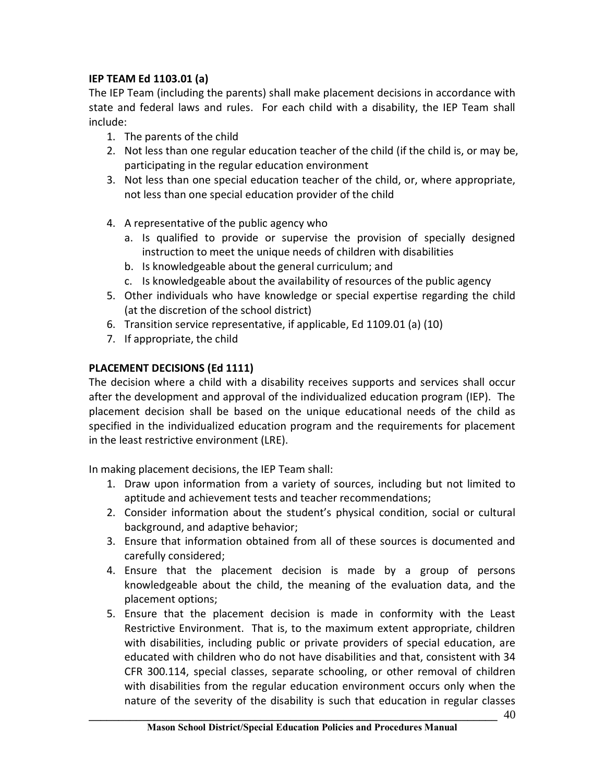# **IEP TEAM Ed 1103.01 (a)**

The IEP Team (including the parents) shall make placement decisions in accordance with state and federal laws and rules. For each child with a disability, the IEP Team shall include:

- 1. The parents of the child
- 2. Not less than one regular education teacher of the child (if the child is, or may be, participating in the regular education environment
- 3. Not less than one special education teacher of the child, or, where appropriate, not less than one special education provider of the child
- 4. A representative of the public agency who
	- a. Is qualified to provide or supervise the provision of specially designed instruction to meet the unique needs of children with disabilities
	- b. Is knowledgeable about the general curriculum; and
	- c. Is knowledgeable about the availability of resources of the public agency
- 5. Other individuals who have knowledge or special expertise regarding the child (at the discretion of the school district)
- 6. Transition service representative, if applicable, Ed 1109.01 (a) (10)
- 7. If appropriate, the child

# **PLACEMENT DECISIONS (Ed 1111)**

The decision where a child with a disability receives supports and services shall occur after the development and approval of the individualized education program (IEP). The placement decision shall be based on the unique educational needs of the child as specified in the individualized education program and the requirements for placement in the least restrictive environment (LRE).

In making placement decisions, the IEP Team shall:

- 1. Draw upon information from a variety of sources, including but not limited to aptitude and achievement tests and teacher recommendations;
- 2. Consider information about the student's physical condition, social or cultural background, and adaptive behavior;
- 3. Ensure that information obtained from all of these sources is documented and carefully considered;
- 4. Ensure that the placement decision is made by a group of persons knowledgeable about the child, the meaning of the evaluation data, and the placement options;
- **\_\_\_\_\_\_\_\_\_\_\_\_\_\_\_\_\_\_\_\_\_\_\_\_\_\_\_\_\_\_\_\_\_\_\_\_\_\_\_\_\_\_\_\_\_\_\_\_\_\_\_\_\_\_\_\_\_\_\_\_\_\_\_\_\_\_\_\_\_** 5. Ensure that the placement decision is made in conformity with the Least Restrictive Environment. That is, to the maximum extent appropriate, children with disabilities, including public or private providers of special education, are educated with children who do not have disabilities and that, consistent with 34 CFR 300.114, special classes, separate schooling, or other removal of children with disabilities from the regular education environment occurs only when the nature of the severity of the disability is such that education in regular classes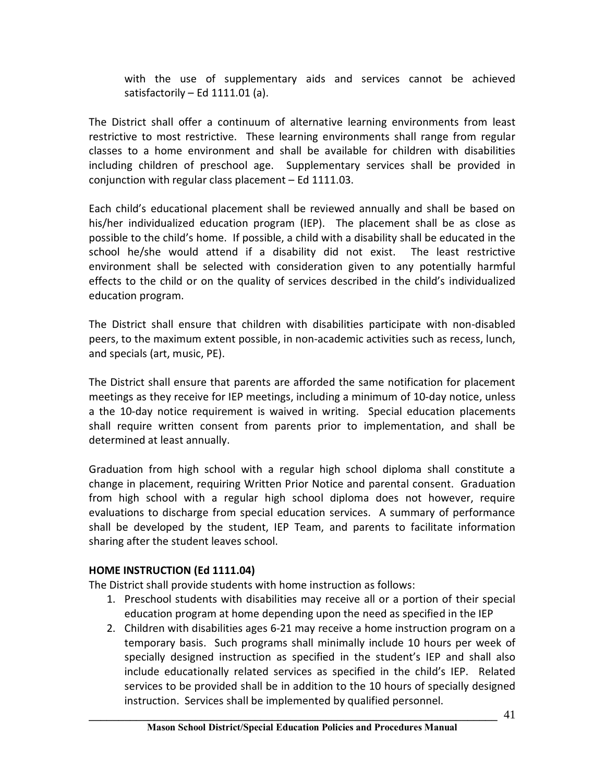with the use of supplementary aids and services cannot be achieved satisfactorily  $-$  Ed 1111.01 (a).

The District shall offer a continuum of alternative learning environments from least restrictive to most restrictive. These learning environments shall range from regular classes to a home environment and shall be available for children with disabilities including children of preschool age. Supplementary services shall be provided in conjunction with regular class placement – Ed 1111.03.

Each child's educational placement shall be reviewed annually and shall be based on his/her individualized education program (IEP). The placement shall be as close as possible to the child's home. If possible, a child with a disability shall be educated in the school he/she would attend if a disability did not exist. The least restrictive environment shall be selected with consideration given to any potentially harmful effects to the child or on the quality of services described in the child's individualized education program.

The District shall ensure that children with disabilities participate with non-disabled peers, to the maximum extent possible, in non-academic activities such as recess, lunch, and specials (art, music, PE).

The District shall ensure that parents are afforded the same notification for placement meetings as they receive for IEP meetings, including a minimum of 10-day notice, unless a the 10-day notice requirement is waived in writing. Special education placements shall require written consent from parents prior to implementation, and shall be determined at least annually.

Graduation from high school with a regular high school diploma shall constitute a change in placement, requiring Written Prior Notice and parental consent. Graduation from high school with a regular high school diploma does not however, require evaluations to discharge from special education services. A summary of performance shall be developed by the student, IEP Team, and parents to facilitate information sharing after the student leaves school.

# **HOME INSTRUCTION (Ed 1111.04)**

The District shall provide students with home instruction as follows:

- 1. Preschool students with disabilities may receive all or a portion of their special education program at home depending upon the need as specified in the IEP
- 2. Children with disabilities ages 6-21 may receive a home instruction program on a temporary basis. Such programs shall minimally include 10 hours per week of specially designed instruction as specified in the student's IEP and shall also include educationally related services as specified in the child's IEP. Related services to be provided shall be in addition to the 10 hours of specially designed instruction. Services shall be implemented by qualified personnel.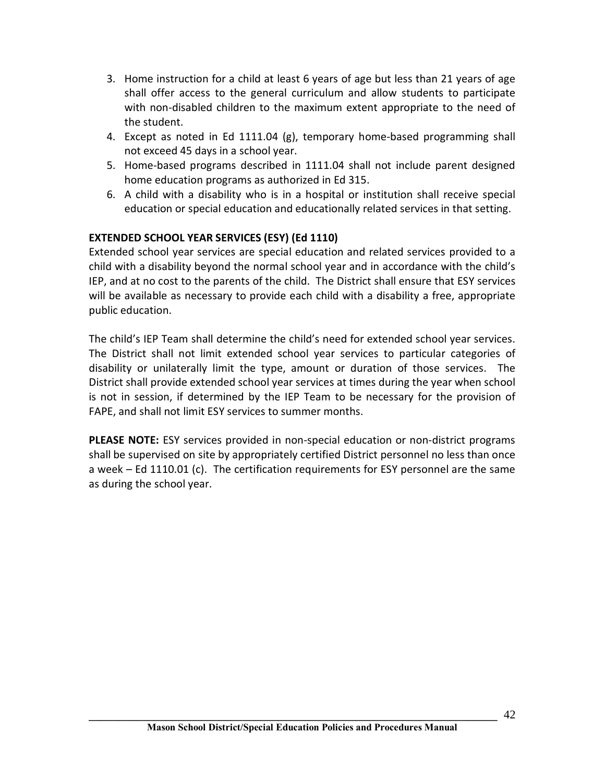- 3. Home instruction for a child at least 6 years of age but less than 21 years of age shall offer access to the general curriculum and allow students to participate with non-disabled children to the maximum extent appropriate to the need of the student.
- 4. Except as noted in Ed 1111.04 (g), temporary home-based programming shall not exceed 45 days in a school year.
- 5. Home-based programs described in 1111.04 shall not include parent designed home education programs as authorized in Ed 315.
- 6. A child with a disability who is in a hospital or institution shall receive special education or special education and educationally related services in that setting.

# **EXTENDED SCHOOL YEAR SERVICES (ESY) (Ed 1110)**

Extended school year services are special education and related services provided to a child with a disability beyond the normal school year and in accordance with the child's IEP, and at no cost to the parents of the child. The District shall ensure that ESY services will be available as necessary to provide each child with a disability a free, appropriate public education.

The child's IEP Team shall determine the child's need for extended school year services. The District shall not limit extended school year services to particular categories of disability or unilaterally limit the type, amount or duration of those services. The District shall provide extended school year services at times during the year when school is not in session, if determined by the IEP Team to be necessary for the provision of FAPE, and shall not limit ESY services to summer months.

**PLEASE NOTE:** ESY services provided in non-special education or non-district programs shall be supervised on site by appropriately certified District personnel no less than once a week – Ed 1110.01 (c). The certification requirements for ESY personnel are the same as during the school year.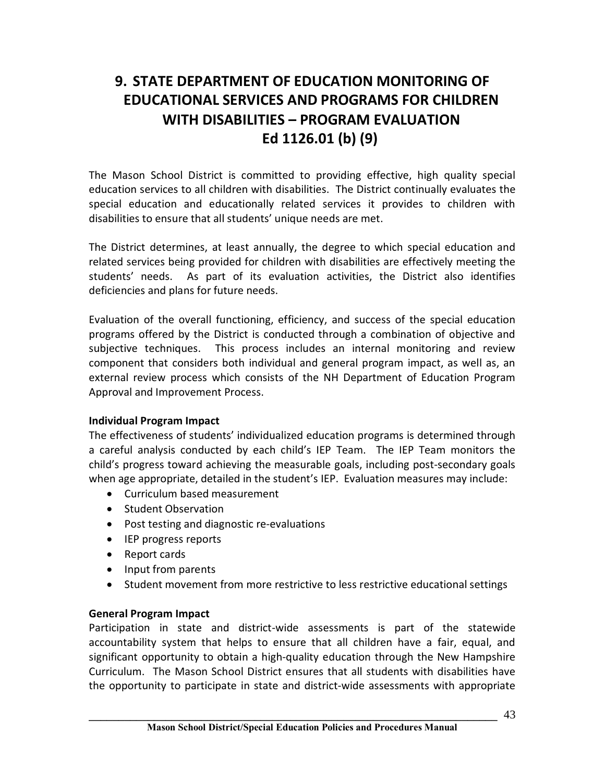# **9. STATE DEPARTMENT OF EDUCATION MONITORING OF EDUCATIONAL SERVICES AND PROGRAMS FOR CHILDREN WITH DISABILITIES – PROGRAM EVALUATION Ed 1126.01 (b) (9)**

The Mason School District is committed to providing effective, high quality special education services to all children with disabilities. The District continually evaluates the special education and educationally related services it provides to children with disabilities to ensure that all students' unique needs are met.

The District determines, at least annually, the degree to which special education and related services being provided for children with disabilities are effectively meeting the students' needs. As part of its evaluation activities, the District also identifies deficiencies and plans for future needs.

Evaluation of the overall functioning, efficiency, and success of the special education programs offered by the District is conducted through a combination of objective and subjective techniques. This process includes an internal monitoring and review component that considers both individual and general program impact, as well as, an external review process which consists of the NH Department of Education Program Approval and Improvement Process.

# **Individual Program Impact**

The effectiveness of students' individualized education programs is determined through a careful analysis conducted by each child's IEP Team. The IEP Team monitors the child's progress toward achieving the measurable goals, including post-secondary goals when age appropriate, detailed in the student's IEP. Evaluation measures may include:

- · Curriculum based measurement
- · Student Observation
- · Post testing and diagnostic re-evaluations
- · IEP progress reports
- · Report cards
- · Input from parents
- · Student movement from more restrictive to less restrictive educational settings

# **General Program Impact**

Participation in state and district-wide assessments is part of the statewide accountability system that helps to ensure that all children have a fair, equal, and significant opportunity to obtain a high-quality education through the New Hampshire Curriculum. The Mason School District ensures that all students with disabilities have the opportunity to participate in state and district-wide assessments with appropriate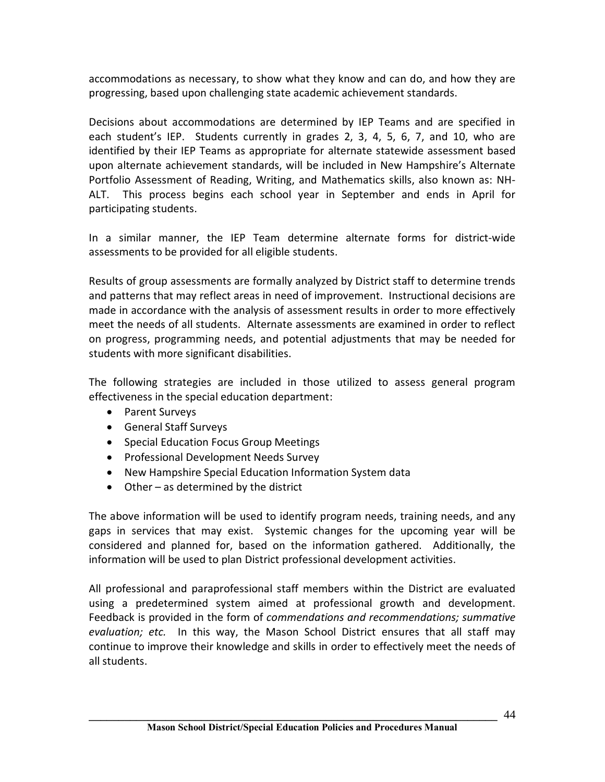accommodations as necessary, to show what they know and can do, and how they are progressing, based upon challenging state academic achievement standards.

Decisions about accommodations are determined by IEP Teams and are specified in each student's IEP. Students currently in grades 2, 3, 4, 5, 6, 7, and 10, who are identified by their IEP Teams as appropriate for alternate statewide assessment based upon alternate achievement standards, will be included in New Hampshire's Alternate Portfolio Assessment of Reading, Writing, and Mathematics skills, also known as: NH-ALT. This process begins each school year in September and ends in April for participating students.

In a similar manner, the IEP Team determine alternate forms for district-wide assessments to be provided for all eligible students.

Results of group assessments are formally analyzed by District staff to determine trends and patterns that may reflect areas in need of improvement. Instructional decisions are made in accordance with the analysis of assessment results in order to more effectively meet the needs of all students. Alternate assessments are examined in order to reflect on progress, programming needs, and potential adjustments that may be needed for students with more significant disabilities.

The following strategies are included in those utilized to assess general program effectiveness in the special education department:

- · Parent Surveys
- · General Staff Surveys
- · Special Education Focus Group Meetings
- · Professional Development Needs Survey
- · New Hampshire Special Education Information System data
- · Other as determined by the district

The above information will be used to identify program needs, training needs, and any gaps in services that may exist. Systemic changes for the upcoming year will be considered and planned for, based on the information gathered. Additionally, the information will be used to plan District professional development activities.

All professional and paraprofessional staff members within the District are evaluated using a predetermined system aimed at professional growth and development. Feedback is provided in the form of *commendations and recommendations; summative evaluation; etc.* In this way, the Mason School District ensures that all staff may continue to improve their knowledge and skills in order to effectively meet the needs of all students.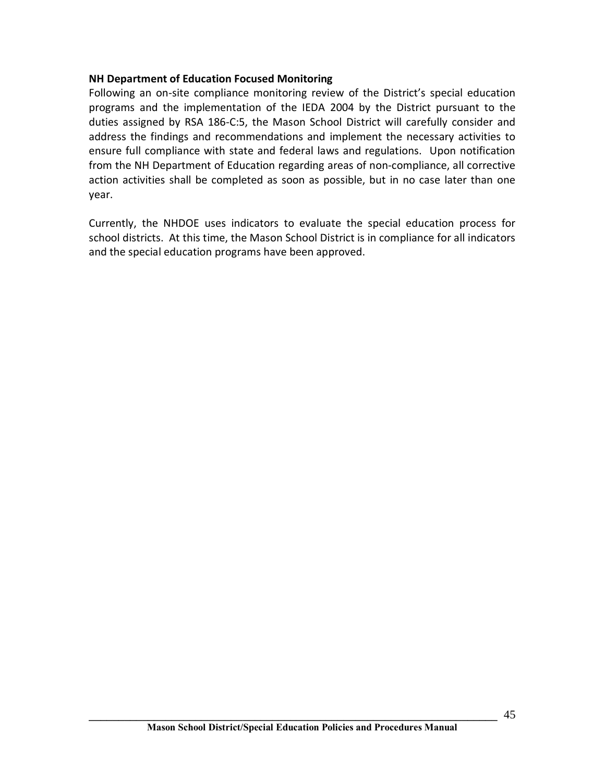## **NH Department of Education Focused Monitoring**

Following an on-site compliance monitoring review of the District's special education programs and the implementation of the IEDA 2004 by the District pursuant to the duties assigned by RSA 186-C:5, the Mason School District will carefully consider and address the findings and recommendations and implement the necessary activities to ensure full compliance with state and federal laws and regulations. Upon notification from the NH Department of Education regarding areas of non-compliance, all corrective action activities shall be completed as soon as possible, but in no case later than one year.

Currently, the NHDOE uses indicators to evaluate the special education process for school districts. At this time, the Mason School District is in compliance for all indicators and the special education programs have been approved.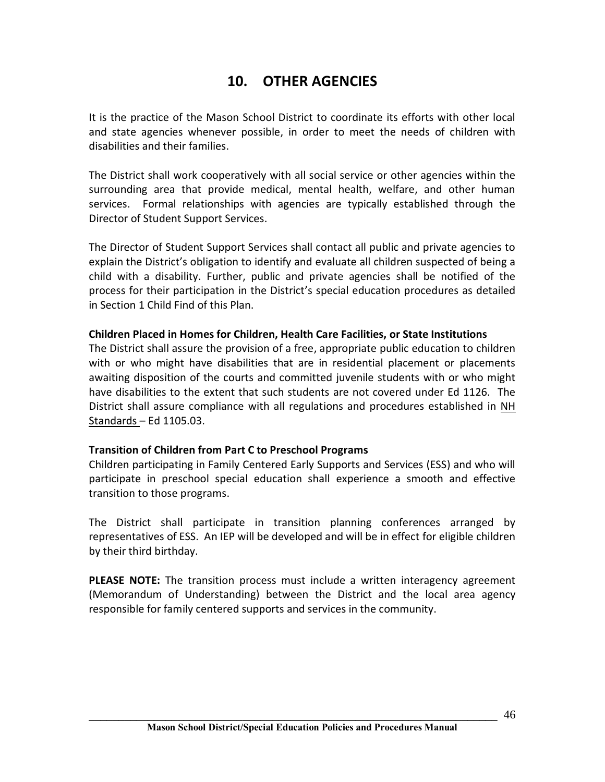# **10. OTHER AGENCIES**

It is the practice of the Mason School District to coordinate its efforts with other local and state agencies whenever possible, in order to meet the needs of children with disabilities and their families.

The District shall work cooperatively with all social service or other agencies within the surrounding area that provide medical, mental health, welfare, and other human services. Formal relationships with agencies are typically established through the Director of Student Support Services.

The Director of Student Support Services shall contact all public and private agencies to explain the District's obligation to identify and evaluate all children suspected of being a child with a disability. Further, public and private agencies shall be notified of the process for their participation in the District's special education procedures as detailed in Section 1 Child Find of this Plan.

# **Children Placed in Homes for Children, Health Care Facilities, or State Institutions**

The District shall assure the provision of a free, appropriate public education to children with or who might have disabilities that are in residential placement or placements awaiting disposition of the courts and committed juvenile students with or who might have disabilities to the extent that such students are not covered under Ed 1126. The District shall assure compliance with all regulations and procedures established in NH Standards – Ed 1105.03.

# **Transition of Children from Part C to Preschool Programs**

Children participating in Family Centered Early Supports and Services (ESS) and who will participate in preschool special education shall experience a smooth and effective transition to those programs.

The District shall participate in transition planning conferences arranged by representatives of ESS. An IEP will be developed and will be in effect for eligible children by their third birthday.

**PLEASE NOTE:** The transition process must include a written interagency agreement (Memorandum of Understanding) between the District and the local area agency responsible for family centered supports and services in the community.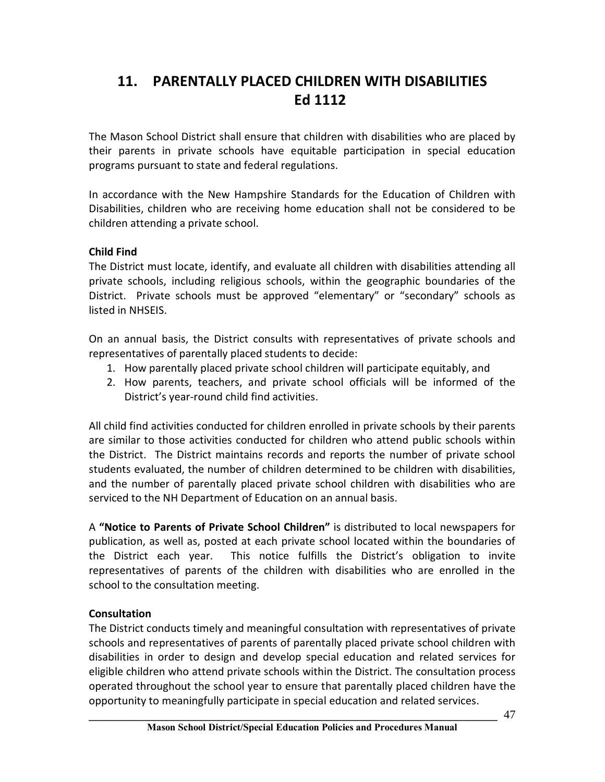# **11. PARENTALLY PLACED CHILDREN WITH DISABILITIES Ed 1112**

The Mason School District shall ensure that children with disabilities who are placed by their parents in private schools have equitable participation in special education programs pursuant to state and federal regulations.

In accordance with the New Hampshire Standards for the Education of Children with Disabilities, children who are receiving home education shall not be considered to be children attending a private school.

# **Child Find**

The District must locate, identify, and evaluate all children with disabilities attending all private schools, including religious schools, within the geographic boundaries of the District. Private schools must be approved "elementary" or "secondary" schools as listed in NHSEIS.

On an annual basis, the District consults with representatives of private schools and representatives of parentally placed students to decide:

- 1. How parentally placed private school children will participate equitably, and
- 2. How parents, teachers, and private school officials will be informed of the District's year-round child find activities.

All child find activities conducted for children enrolled in private schools by their parents are similar to those activities conducted for children who attend public schools within the District. The District maintains records and reports the number of private school students evaluated, the number of children determined to be children with disabilities, and the number of parentally placed private school children with disabilities who are serviced to the NH Department of Education on an annual basis.

A **"Notice to Parents of Private School Children"** is distributed to local newspapers for publication, as well as, posted at each private school located within the boundaries of the District each year. This notice fulfills the District's obligation to invite representatives of parents of the children with disabilities who are enrolled in the school to the consultation meeting.

# **Consultation**

The District conducts timely and meaningful consultation with representatives of private schools and representatives of parents of parentally placed private school children with disabilities in order to design and develop special education and related services for eligible children who attend private schools within the District. The consultation process operated throughout the school year to ensure that parentally placed children have the opportunity to meaningfully participate in special education and related services.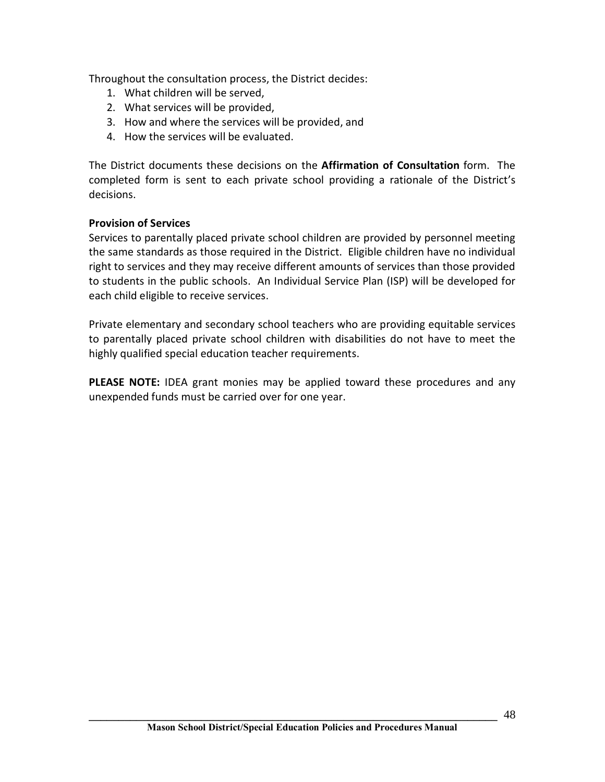Throughout the consultation process, the District decides:

- 1. What children will be served,
- 2. What services will be provided,
- 3. How and where the services will be provided, and
- 4. How the services will be evaluated.

The District documents these decisions on the **Affirmation of Consultation** form. The completed form is sent to each private school providing a rationale of the District's decisions.

## **Provision of Services**

Services to parentally placed private school children are provided by personnel meeting the same standards as those required in the District. Eligible children have no individual right to services and they may receive different amounts of services than those provided to students in the public schools. An Individual Service Plan (ISP) will be developed for each child eligible to receive services.

Private elementary and secondary school teachers who are providing equitable services to parentally placed private school children with disabilities do not have to meet the highly qualified special education teacher requirements.

**PLEASE NOTE:** IDEA grant monies may be applied toward these procedures and any unexpended funds must be carried over for one year.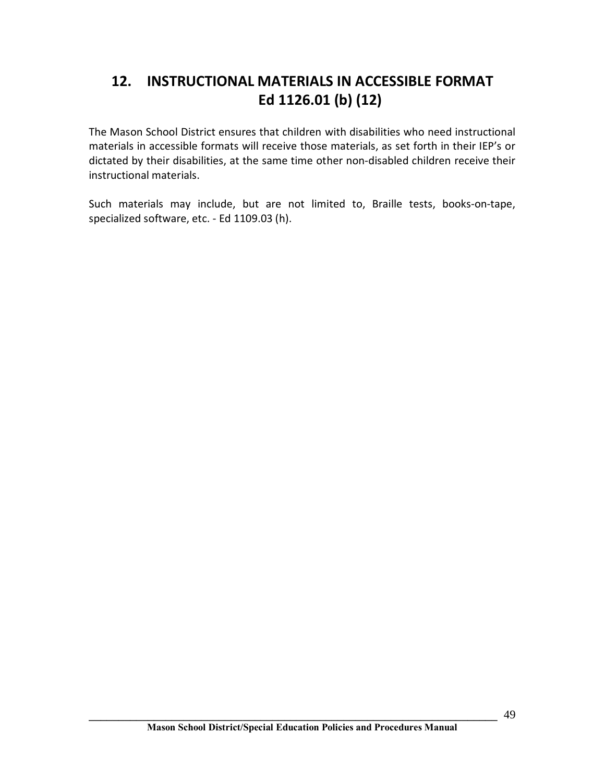# **12. INSTRUCTIONAL MATERIALS IN ACCESSIBLE FORMAT Ed 1126.01 (b) (12)**

The Mason School District ensures that children with disabilities who need instructional materials in accessible formats will receive those materials, as set forth in their IEP's or dictated by their disabilities, at the same time other non-disabled children receive their instructional materials.

Such materials may include, but are not limited to, Braille tests, books-on-tape, specialized software, etc. - Ed 1109.03 (h).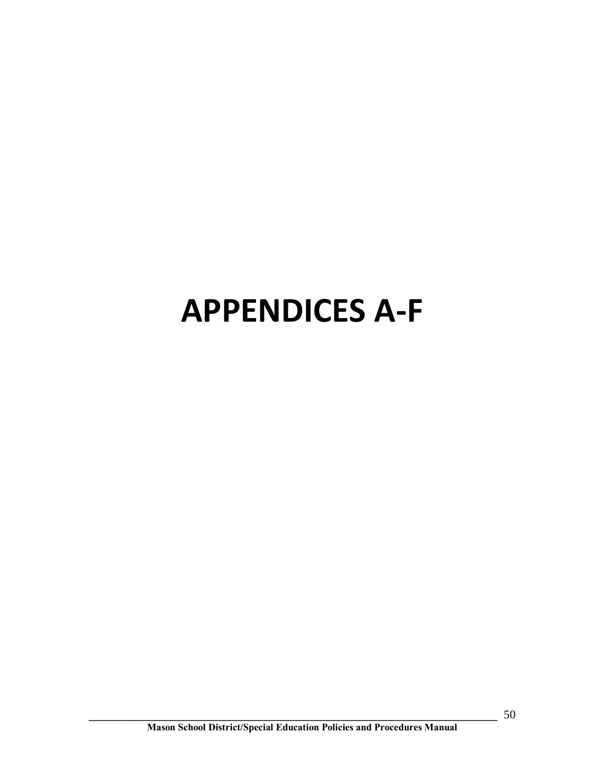# **APPENDICES A-F**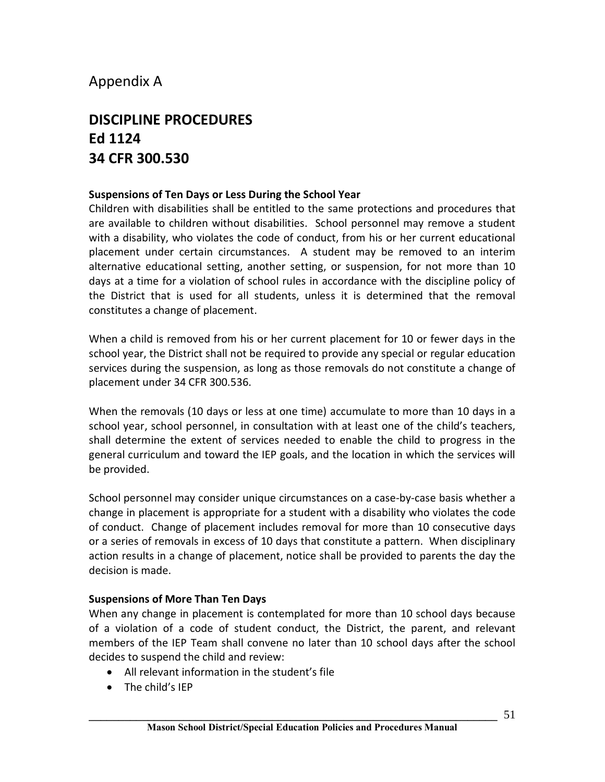# Appendix A

# **DISCIPLINE PROCEDURES Ed 1124 34 CFR 300.530**

# **Suspensions of Ten Days or Less During the School Year**

Children with disabilities shall be entitled to the same protections and procedures that are available to children without disabilities. School personnel may remove a student with a disability, who violates the code of conduct, from his or her current educational placement under certain circumstances. A student may be removed to an interim alternative educational setting, another setting, or suspension, for not more than 10 days at a time for a violation of school rules in accordance with the discipline policy of the District that is used for all students, unless it is determined that the removal constitutes a change of placement.

When a child is removed from his or her current placement for 10 or fewer days in the school year, the District shall not be required to provide any special or regular education services during the suspension, as long as those removals do not constitute a change of placement under 34 CFR 300.536.

When the removals (10 days or less at one time) accumulate to more than 10 days in a school year, school personnel, in consultation with at least one of the child's teachers, shall determine the extent of services needed to enable the child to progress in the general curriculum and toward the IEP goals, and the location in which the services will be provided.

School personnel may consider unique circumstances on a case-by-case basis whether a change in placement is appropriate for a student with a disability who violates the code of conduct. Change of placement includes removal for more than 10 consecutive days or a series of removals in excess of 10 days that constitute a pattern. When disciplinary action results in a change of placement, notice shall be provided to parents the day the decision is made.

# **Suspensions of More Than Ten Days**

When any change in placement is contemplated for more than 10 school days because of a violation of a code of student conduct, the District, the parent, and relevant members of the IEP Team shall convene no later than 10 school days after the school decides to suspend the child and review:

- · All relevant information in the student's file
- The child's IEP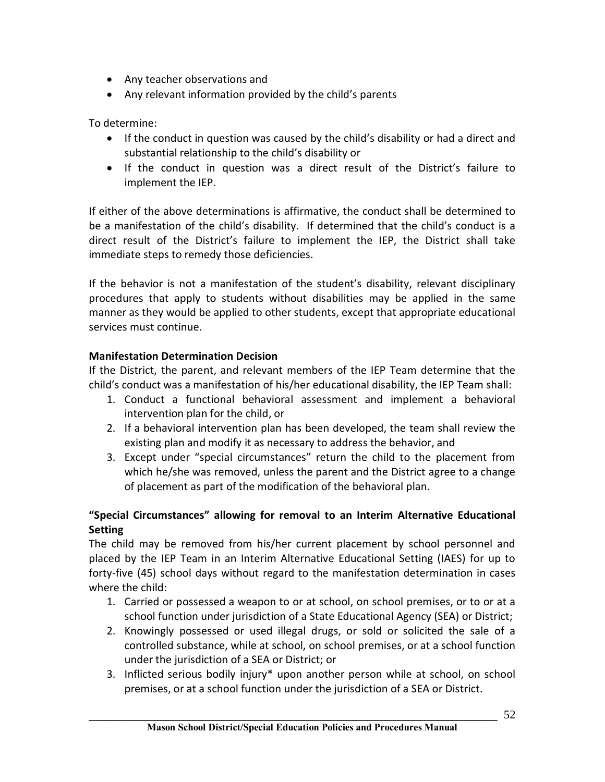- · Any teacher observations and
- · Any relevant information provided by the child's parents

To determine:

- If the conduct in question was caused by the child's disability or had a direct and substantial relationship to the child's disability or
- · If the conduct in question was a direct result of the District's failure to implement the IEP.

If either of the above determinations is affirmative, the conduct shall be determined to be a manifestation of the child's disability. If determined that the child's conduct is a direct result of the District's failure to implement the IEP, the District shall take immediate steps to remedy those deficiencies.

If the behavior is not a manifestation of the student's disability, relevant disciplinary procedures that apply to students without disabilities may be applied in the same manner as they would be applied to other students, except that appropriate educational services must continue.

# **Manifestation Determination Decision**

If the District, the parent, and relevant members of the IEP Team determine that the child's conduct was a manifestation of his/her educational disability, the IEP Team shall:

- 1. Conduct a functional behavioral assessment and implement a behavioral intervention plan for the child, or
- 2. If a behavioral intervention plan has been developed, the team shall review the existing plan and modify it as necessary to address the behavior, and
- 3. Except under "special circumstances" return the child to the placement from which he/she was removed, unless the parent and the District agree to a change of placement as part of the modification of the behavioral plan.

# **"Special Circumstances" allowing for removal to an Interim Alternative Educational Setting**

The child may be removed from his/her current placement by school personnel and placed by the IEP Team in an Interim Alternative Educational Setting (IAES) for up to forty-five (45) school days without regard to the manifestation determination in cases where the child:

- 1. Carried or possessed a weapon to or at school, on school premises, or to or at a school function under jurisdiction of a State Educational Agency (SEA) or District;
- 2. Knowingly possessed or used illegal drugs, or sold or solicited the sale of a controlled substance, while at school, on school premises, or at a school function under the jurisdiction of a SEA or District; or
- 3. Inflicted serious bodily injury\* upon another person while at school, on school premises, or at a school function under the jurisdiction of a SEA or District.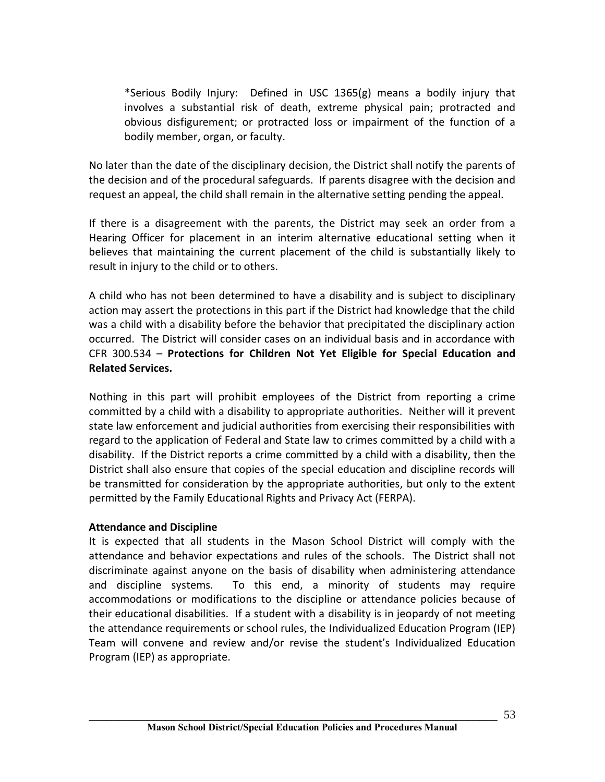\*Serious Bodily Injury: Defined in USC 1365(g) means a bodily injury that involves a substantial risk of death, extreme physical pain; protracted and obvious disfigurement; or protracted loss or impairment of the function of a bodily member, organ, or faculty.

No later than the date of the disciplinary decision, the District shall notify the parents of the decision and of the procedural safeguards. If parents disagree with the decision and request an appeal, the child shall remain in the alternative setting pending the appeal.

If there is a disagreement with the parents, the District may seek an order from a Hearing Officer for placement in an interim alternative educational setting when it believes that maintaining the current placement of the child is substantially likely to result in injury to the child or to others.

A child who has not been determined to have a disability and is subject to disciplinary action may assert the protections in this part if the District had knowledge that the child was a child with a disability before the behavior that precipitated the disciplinary action occurred. The District will consider cases on an individual basis and in accordance with CFR 300.534 – **Protections for Children Not Yet Eligible for Special Education and Related Services.**

Nothing in this part will prohibit employees of the District from reporting a crime committed by a child with a disability to appropriate authorities. Neither will it prevent state law enforcement and judicial authorities from exercising their responsibilities with regard to the application of Federal and State law to crimes committed by a child with a disability. If the District reports a crime committed by a child with a disability, then the District shall also ensure that copies of the special education and discipline records will be transmitted for consideration by the appropriate authorities, but only to the extent permitted by the Family Educational Rights and Privacy Act (FERPA).

# **Attendance and Discipline**

It is expected that all students in the Mason School District will comply with the attendance and behavior expectations and rules of the schools. The District shall not discriminate against anyone on the basis of disability when administering attendance and discipline systems. To this end, a minority of students may require accommodations or modifications to the discipline or attendance policies because of their educational disabilities. If a student with a disability is in jeopardy of not meeting the attendance requirements or school rules, the Individualized Education Program (IEP) Team will convene and review and/or revise the student's Individualized Education Program (IEP) as appropriate.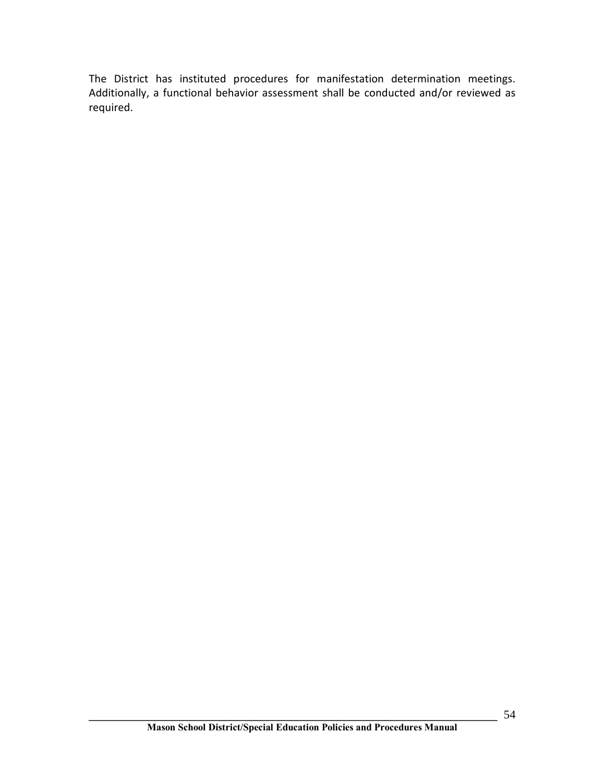The District has instituted procedures for manifestation determination meetings. Additionally, a functional behavior assessment shall be conducted and/or reviewed as required.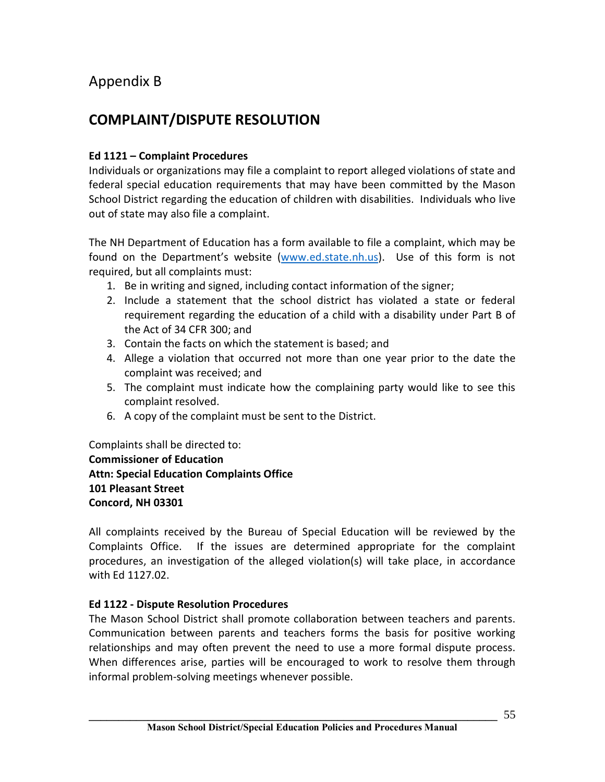# Appendix B

# **COMPLAINT/DISPUTE RESOLUTION**

# **Ed 1121 – Complaint Procedures**

Individuals or organizations may file a complaint to report alleged violations of state and federal special education requirements that may have been committed by the Mason School District regarding the education of children with disabilities. Individuals who live out of state may also file a complaint.

The NH Department of Education has a form available to file a complaint, which may be found on the Department's website (www.ed.state.nh.us). Use of this form is not required, but all complaints must:

- 1. Be in writing and signed, including contact information of the signer;
- 2. Include a statement that the school district has violated a state or federal requirement regarding the education of a child with a disability under Part B of the Act of 34 CFR 300; and
- 3. Contain the facts on which the statement is based; and
- 4. Allege a violation that occurred not more than one year prior to the date the complaint was received; and
- 5. The complaint must indicate how the complaining party would like to see this complaint resolved.
- 6. A copy of the complaint must be sent to the District.

Complaints shall be directed to: **Commissioner of Education Attn: Special Education Complaints Office 101 Pleasant Street Concord, NH 03301**

All complaints received by the Bureau of Special Education will be reviewed by the Complaints Office. If the issues are determined appropriate for the complaint procedures, an investigation of the alleged violation(s) will take place, in accordance with Ed 1127.02.

# **Ed 1122 - Dispute Resolution Procedures**

The Mason School District shall promote collaboration between teachers and parents. Communication between parents and teachers forms the basis for positive working relationships and may often prevent the need to use a more formal dispute process. When differences arise, parties will be encouraged to work to resolve them through informal problem-solving meetings whenever possible.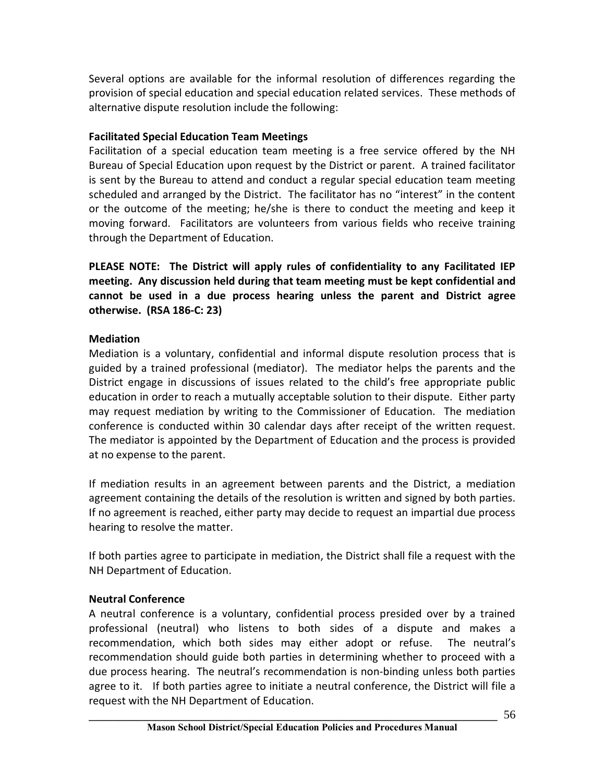Several options are available for the informal resolution of differences regarding the provision of special education and special education related services. These methods of alternative dispute resolution include the following:

# **Facilitated Special Education Team Meetings**

Facilitation of a special education team meeting is a free service offered by the NH Bureau of Special Education upon request by the District or parent. A trained facilitator is sent by the Bureau to attend and conduct a regular special education team meeting scheduled and arranged by the District. The facilitator has no "interest" in the content or the outcome of the meeting; he/she is there to conduct the meeting and keep it moving forward. Facilitators are volunteers from various fields who receive training through the Department of Education.

**PLEASE NOTE: The District will apply rules of confidentiality to any Facilitated IEP meeting. Any discussion held during that team meeting must be kept confidential and cannot be used in a due process hearing unless the parent and District agree otherwise. (RSA 186-C: 23)**

# **Mediation**

Mediation is a voluntary, confidential and informal dispute resolution process that is guided by a trained professional (mediator). The mediator helps the parents and the District engage in discussions of issues related to the child's free appropriate public education in order to reach a mutually acceptable solution to their dispute. Either party may request mediation by writing to the Commissioner of Education. The mediation conference is conducted within 30 calendar days after receipt of the written request. The mediator is appointed by the Department of Education and the process is provided at no expense to the parent.

If mediation results in an agreement between parents and the District, a mediation agreement containing the details of the resolution is written and signed by both parties. If no agreement is reached, either party may decide to request an impartial due process hearing to resolve the matter.

If both parties agree to participate in mediation, the District shall file a request with the NH Department of Education.

# **Neutral Conference**

A neutral conference is a voluntary, confidential process presided over by a trained professional (neutral) who listens to both sides of a dispute and makes a recommendation, which both sides may either adopt or refuse. The neutral's recommendation should guide both parties in determining whether to proceed with a due process hearing. The neutral's recommendation is non-binding unless both parties agree to it. If both parties agree to initiate a neutral conference, the District will file a request with the NH Department of Education.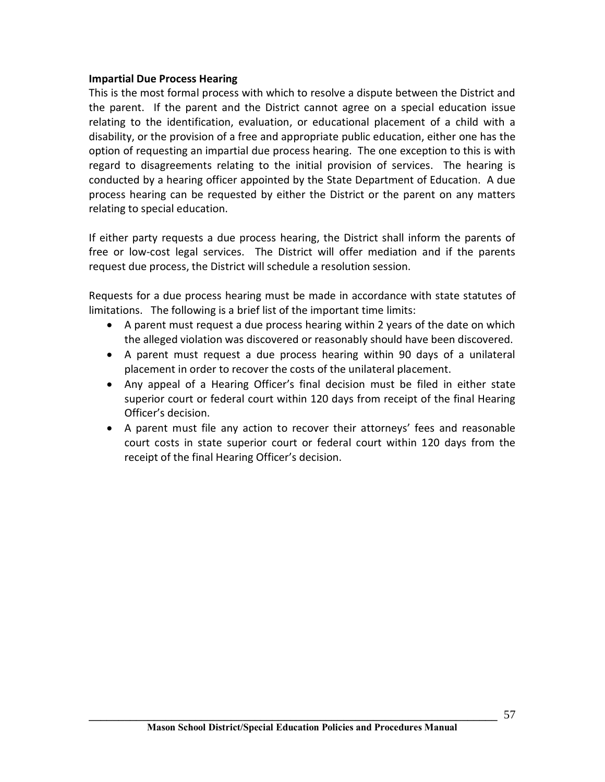#### **Impartial Due Process Hearing**

This is the most formal process with which to resolve a dispute between the District and the parent. If the parent and the District cannot agree on a special education issue relating to the identification, evaluation, or educational placement of a child with a disability, or the provision of a free and appropriate public education, either one has the option of requesting an impartial due process hearing. The one exception to this is with regard to disagreements relating to the initial provision of services. The hearing is conducted by a hearing officer appointed by the State Department of Education. A due process hearing can be requested by either the District or the parent on any matters relating to special education.

If either party requests a due process hearing, the District shall inform the parents of free or low-cost legal services. The District will offer mediation and if the parents request due process, the District will schedule a resolution session.

Requests for a due process hearing must be made in accordance with state statutes of limitations. The following is a brief list of the important time limits:

- · A parent must request a due process hearing within 2 years of the date on which the alleged violation was discovered or reasonably should have been discovered.
- · A parent must request a due process hearing within 90 days of a unilateral placement in order to recover the costs of the unilateral placement.
- · Any appeal of a Hearing Officer's final decision must be filed in either state superior court or federal court within 120 days from receipt of the final Hearing Officer's decision.
- · A parent must file any action to recover their attorneys' fees and reasonable court costs in state superior court or federal court within 120 days from the receipt of the final Hearing Officer's decision.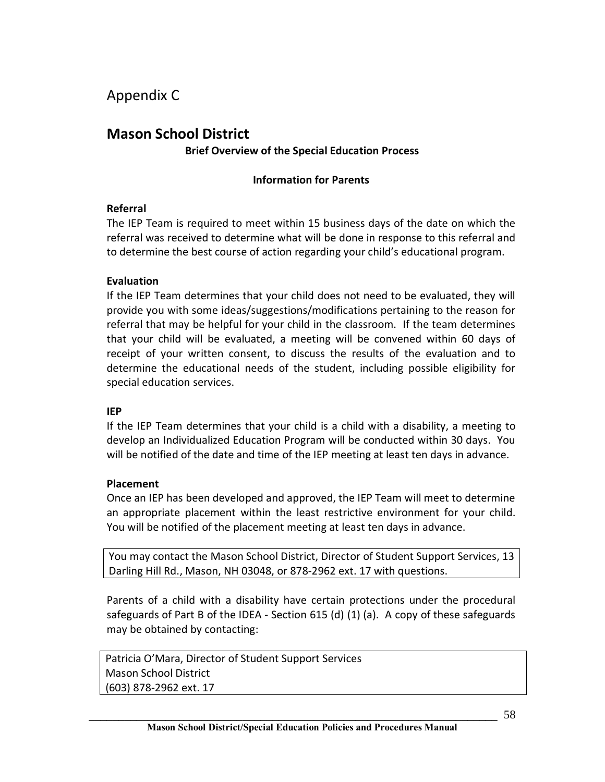Appendix C

# **Mason School District Brief Overview of the Special Education Process**

## **Information for Parents**

#### **Referral**

The IEP Team is required to meet within 15 business days of the date on which the referral was received to determine what will be done in response to this referral and to determine the best course of action regarding your child's educational program.

#### **Evaluation**

If the IEP Team determines that your child does not need to be evaluated, they will provide you with some ideas/suggestions/modifications pertaining to the reason for referral that may be helpful for your child in the classroom. If the team determines that your child will be evaluated, a meeting will be convened within 60 days of receipt of your written consent, to discuss the results of the evaluation and to determine the educational needs of the student, including possible eligibility for special education services.

#### **IEP**

If the IEP Team determines that your child is a child with a disability, a meeting to develop an Individualized Education Program will be conducted within 30 days. You will be notified of the date and time of the IEP meeting at least ten days in advance.

#### **Placement**

Once an IEP has been developed and approved, the IEP Team will meet to determine an appropriate placement within the least restrictive environment for your child. You will be notified of the placement meeting at least ten days in advance.

You may contact the Mason School District, Director of Student Support Services, 13 Darling Hill Rd., Mason, NH 03048, or 878-2962 ext. 17 with questions.

Parents of a child with a disability have certain protections under the procedural safeguards of Part B of the IDEA - Section 615 (d) (1) (a). A copy of these safeguards may be obtained by contacting:

Patricia O'Mara, Director of Student Support Services Mason School District (603) 878-2962 ext. 17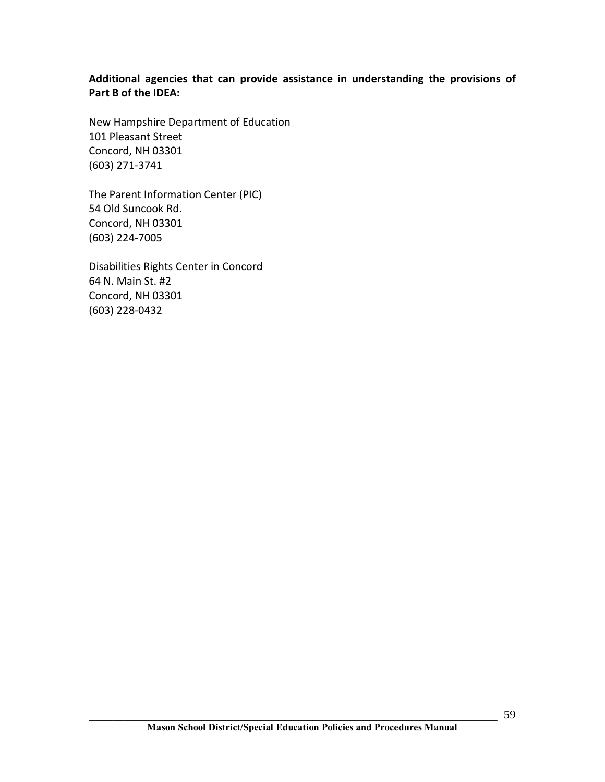**Additional agencies that can provide assistance in understanding the provisions of Part B of the IDEA:**

New Hampshire Department of Education 101 Pleasant Street Concord, NH 03301 (603) 271-3741

The Parent Information Center (PIC) 54 Old Suncook Rd. Concord, NH 03301 (603) 224-7005

Disabilities Rights Center in Concord 64 N. Main St. #2 Concord, NH 03301 (603) 228-0432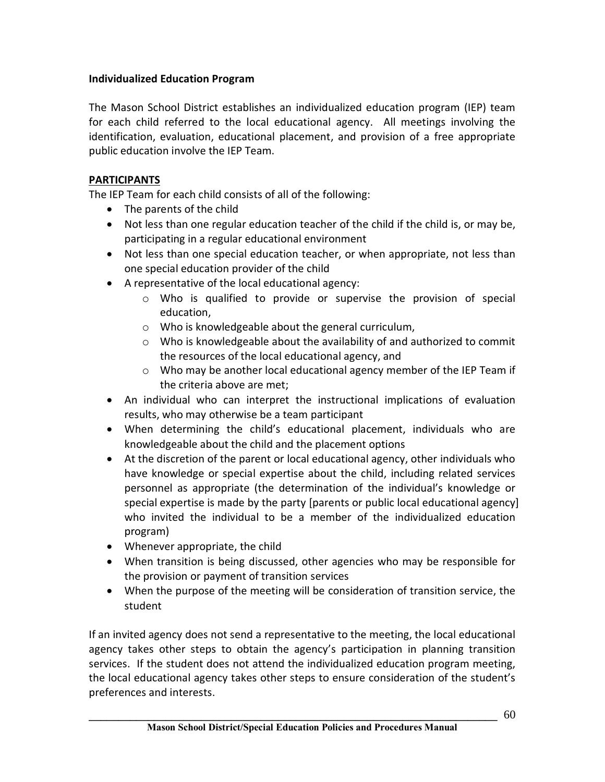# **Individualized Education Program**

The Mason School District establishes an individualized education program (IEP) team for each child referred to the local educational agency. All meetings involving the identification, evaluation, educational placement, and provision of a free appropriate public education involve the IEP Team.

# **PARTICIPANTS**

The IEP Team for each child consists of all of the following:

- · The parents of the child
- · Not less than one regular education teacher of the child if the child is, or may be, participating in a regular educational environment
- · Not less than one special education teacher, or when appropriate, not less than one special education provider of the child
- · A representative of the local educational agency:
	- o Who is qualified to provide or supervise the provision of special education,
	- o Who is knowledgeable about the general curriculum,
	- o Who is knowledgeable about the availability of and authorized to commit the resources of the local educational agency, and
	- $\circ$  Who may be another local educational agency member of the IEP Team if the criteria above are met;
- · An individual who can interpret the instructional implications of evaluation results, who may otherwise be a team participant
- · When determining the child's educational placement, individuals who are knowledgeable about the child and the placement options
- · At the discretion of the parent or local educational agency, other individuals who have knowledge or special expertise about the child, including related services personnel as appropriate (the determination of the individual's knowledge or special expertise is made by the party [parents or public local educational agency] who invited the individual to be a member of the individualized education program)
- · Whenever appropriate, the child
- · When transition is being discussed, other agencies who may be responsible for the provision or payment of transition services
- · When the purpose of the meeting will be consideration of transition service, the student

If an invited agency does not send a representative to the meeting, the local educational agency takes other steps to obtain the agency's participation in planning transition services. If the student does not attend the individualized education program meeting, the local educational agency takes other steps to ensure consideration of the student's preferences and interests.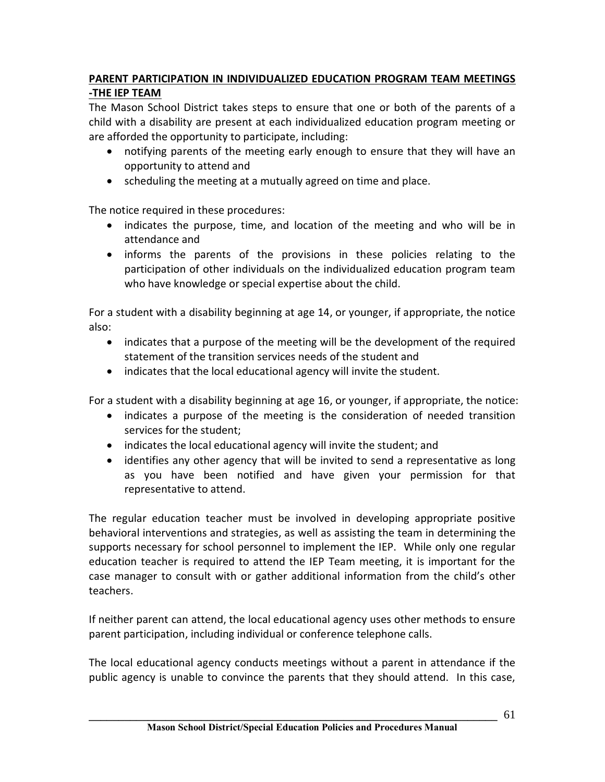# **PARENT PARTICIPATION IN INDIVIDUALIZED EDUCATION PROGRAM TEAM MEETINGS -THE IEP TEAM**

The Mason School District takes steps to ensure that one or both of the parents of a child with a disability are present at each individualized education program meeting or are afforded the opportunity to participate, including:

- · notifying parents of the meeting early enough to ensure that they will have an opportunity to attend and
- · scheduling the meeting at a mutually agreed on time and place.

The notice required in these procedures:

- indicates the purpose, time, and location of the meeting and who will be in attendance and
- · informs the parents of the provisions in these policies relating to the participation of other individuals on the individualized education program team who have knowledge or special expertise about the child.

For a student with a disability beginning at age 14, or younger, if appropriate, the notice also:

- · indicates that a purpose of the meeting will be the development of the required statement of the transition services needs of the student and
- indicates that the local educational agency will invite the student.

For a student with a disability beginning at age 16, or younger, if appropriate, the notice:

- indicates a purpose of the meeting is the consideration of needed transition services for the student;
- · indicates the local educational agency will invite the student; and
- · identifies any other agency that will be invited to send a representative as long as you have been notified and have given your permission for that representative to attend.

The regular education teacher must be involved in developing appropriate positive behavioral interventions and strategies, as well as assisting the team in determining the supports necessary for school personnel to implement the IEP. While only one regular education teacher is required to attend the IEP Team meeting, it is important for the case manager to consult with or gather additional information from the child's other teachers.

If neither parent can attend, the local educational agency uses other methods to ensure parent participation, including individual or conference telephone calls.

The local educational agency conducts meetings without a parent in attendance if the public agency is unable to convince the parents that they should attend. In this case,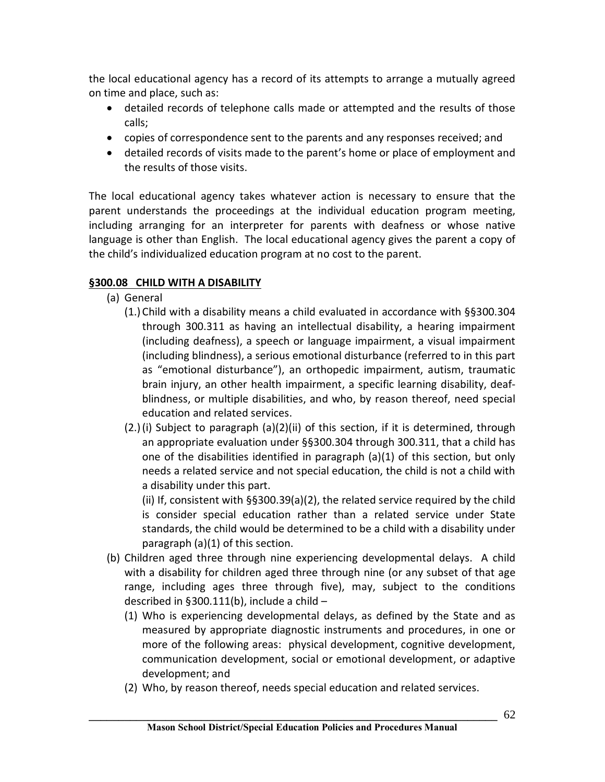the local educational agency has a record of its attempts to arrange a mutually agreed on time and place, such as:

- · detailed records of telephone calls made or attempted and the results of those calls;
- · copies of correspondence sent to the parents and any responses received; and
- · detailed records of visits made to the parent's home or place of employment and the results of those visits.

The local educational agency takes whatever action is necessary to ensure that the parent understands the proceedings at the individual education program meeting, including arranging for an interpreter for parents with deafness or whose native language is other than English. The local educational agency gives the parent a copy of the child's individualized education program at no cost to the parent.

# **§300.08 CHILD WITH A DISABILITY**

- (a) General
	- (1.) Child with a disability means a child evaluated in accordance with §§300.304 through 300.311 as having an intellectual disability, a hearing impairment (including deafness), a speech or language impairment, a visual impairment (including blindness), a serious emotional disturbance (referred to in this part as "emotional disturbance"), an orthopedic impairment, autism, traumatic brain injury, an other health impairment, a specific learning disability, deafblindness, or multiple disabilities, and who, by reason thereof, need special education and related services.
	- (2.)(i) Subject to paragraph (a)(2)(ii) of this section, if it is determined, through an appropriate evaluation under §§300.304 through 300.311, that a child has one of the disabilities identified in paragraph (a)(1) of this section, but only needs a related service and not special education, the child is not a child with a disability under this part.

(ii) If, consistent with §§300.39(a)(2), the related service required by the child is consider special education rather than a related service under State standards, the child would be determined to be a child with a disability under paragraph (a)(1) of this section.

- (b) Children aged three through nine experiencing developmental delays. A child with a disability for children aged three through nine (or any subset of that age range, including ages three through five), may, subject to the conditions described in §300.111(b), include a child –
	- (1) Who is experiencing developmental delays, as defined by the State and as measured by appropriate diagnostic instruments and procedures, in one or more of the following areas: physical development, cognitive development, communication development, social or emotional development, or adaptive development; and
	- (2) Who, by reason thereof, needs special education and related services.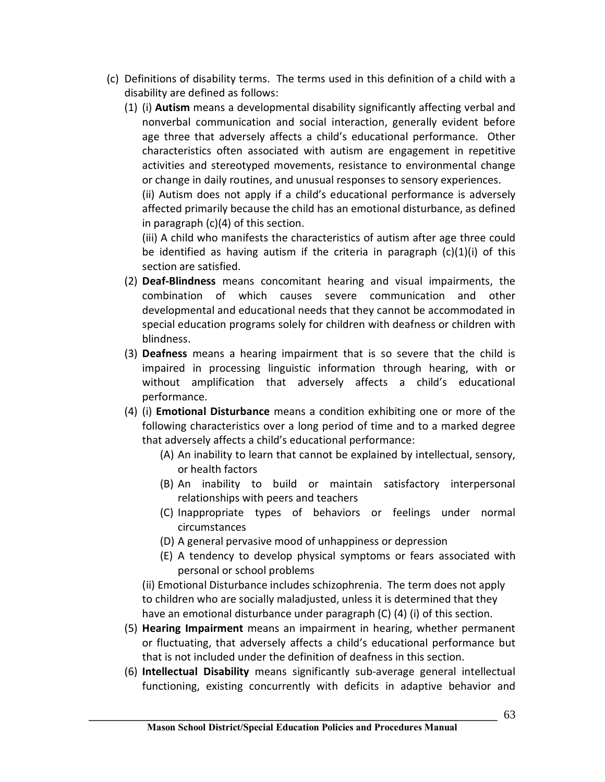- (c) Definitions of disability terms. The terms used in this definition of a child with a disability are defined as follows:
	- (1) (i) **Autism** means a developmental disability significantly affecting verbal and nonverbal communication and social interaction, generally evident before age three that adversely affects a child's educational performance. Other characteristics often associated with autism are engagement in repetitive activities and stereotyped movements, resistance to environmental change or change in daily routines, and unusual responses to sensory experiences.

(ii) Autism does not apply if a child's educational performance is adversely affected primarily because the child has an emotional disturbance, as defined in paragraph (c)(4) of this section.

(iii) A child who manifests the characteristics of autism after age three could be identified as having autism if the criteria in paragraph  $(c)(1)(i)$  of this section are satisfied.

- (2) **Deaf-Blindness** means concomitant hearing and visual impairments, the combination of which causes severe communication and other developmental and educational needs that they cannot be accommodated in special education programs solely for children with deafness or children with blindness.
- (3) **Deafness** means a hearing impairment that is so severe that the child is impaired in processing linguistic information through hearing, with or without amplification that adversely affects a child's educational performance.
- (4) (i) **Emotional Disturbance** means a condition exhibiting one or more of the following characteristics over a long period of time and to a marked degree that adversely affects a child's educational performance:
	- (A) An inability to learn that cannot be explained by intellectual, sensory, or health factors
	- (B) An inability to build or maintain satisfactory interpersonal relationships with peers and teachers
	- (C) Inappropriate types of behaviors or feelings under normal circumstances
	- (D) A general pervasive mood of unhappiness or depression
	- (E) A tendency to develop physical symptoms or fears associated with personal or school problems

 (ii) Emotional Disturbance includes schizophrenia. The term does not apply to children who are socially maladjusted, unless it is determined that they have an emotional disturbance under paragraph (C) (4) (i) of this section.

- (5) **Hearing Impairment** means an impairment in hearing, whether permanent or fluctuating, that adversely affects a child's educational performance but that is not included under the definition of deafness in this section.
- (6) **Intellectual Disability** means significantly sub-average general intellectual functioning, existing concurrently with deficits in adaptive behavior and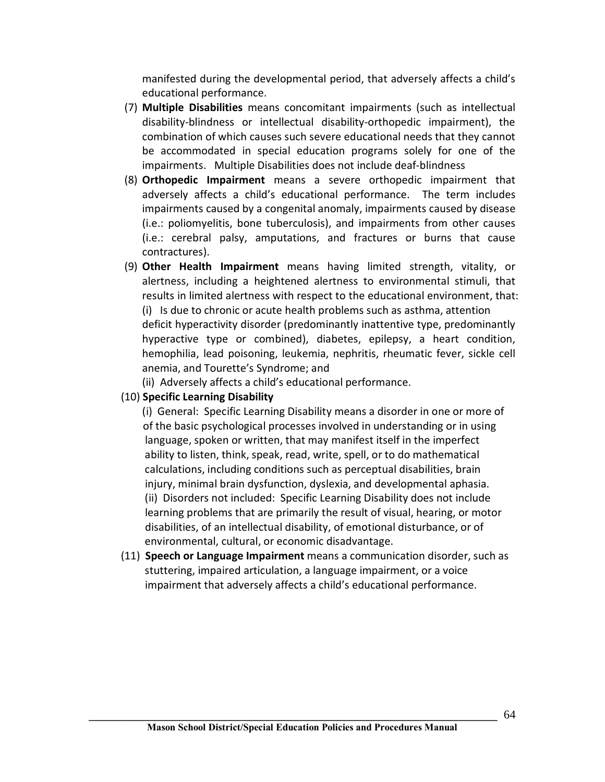manifested during the developmental period, that adversely affects a child's educational performance.

- (7) **Multiple Disabilities** means concomitant impairments (such as intellectual disability-blindness or intellectual disability-orthopedic impairment), the combination of which causes such severe educational needs that they cannot be accommodated in special education programs solely for one of the impairments. Multiple Disabilities does not include deaf-blindness
- (8) **Orthopedic Impairment** means a severe orthopedic impairment that adversely affects a child's educational performance. The term includes impairments caused by a congenital anomaly, impairments caused by disease (i.e.: poliomyelitis, bone tuberculosis), and impairments from other causes (i.e.: cerebral palsy, amputations, and fractures or burns that cause contractures).
- (9) **Other Health Impairment** means having limited strength, vitality, or alertness, including a heightened alertness to environmental stimuli, that results in limited alertness with respect to the educational environment, that: (i) Is due to chronic or acute health problems such as asthma, attention deficit hyperactivity disorder (predominantly inattentive type, predominantly hyperactive type or combined), diabetes, epilepsy, a heart condition, hemophilia, lead poisoning, leukemia, nephritis, rheumatic fever, sickle cell anemia, and Tourette's Syndrome; and

(ii) Adversely affects a child's educational performance.

## (10) **Specific Learning Disability**

(i) General: Specific Learning Disability means a disorder in one or more of of the basic psychological processes involved in understanding or in using language, spoken or written, that may manifest itself in the imperfect ability to listen, think, speak, read, write, spell, or to do mathematical calculations, including conditions such as perceptual disabilities, brain injury, minimal brain dysfunction, dyslexia, and developmental aphasia. (ii) Disorders not included: Specific Learning Disability does not include learning problems that are primarily the result of visual, hearing, or motor disabilities, of an intellectual disability, of emotional disturbance, or of environmental, cultural, or economic disadvantage.

 (11) **Speech or Language Impairment** means a communication disorder, such as stuttering, impaired articulation, a language impairment, or a voice impairment that adversely affects a child's educational performance.